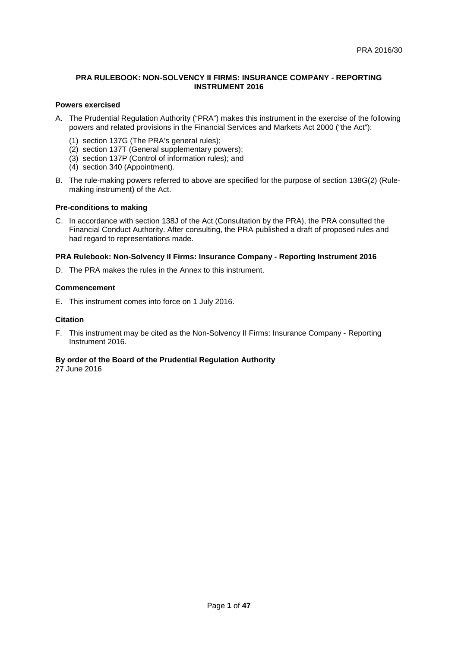## **PRA RULEBOOK: NON-SOLVENCY II FIRMS: INSURANCE COMPANY - REPORTING INSTRUMENT 2016**

## **Powers exercised**

- A. The Prudential Regulation Authority ("PRA") makes this instrument in the exercise of the following powers and related provisions in the Financial Services and Markets Act 2000 ("the Act"):
	- (1) section 137G (The PRA's general rules);
	- (2) section 137T (General supplementary powers);
	- (3) section 137P (Control of information rules); and
	- (4) section 340 (Appointment).
- B. The rule-making powers referred to above are specified for the purpose of section 138G(2) (Rulemaking instrument) of the Act.

## **Pre-conditions to making**

C. In accordance with section 138J of the Act (Consultation by the PRA), the PRA consulted the Financial Conduct Authority. After consulting, the PRA published a draft of proposed rules and had regard to representations made.

## **PRA Rulebook: Non-Solvency II Firms: Insurance Company - Reporting Instrument 2016**

D. The PRA makes the rules in the Annex to this instrument.

## **Commencement**

E. This instrument comes into force on 1 July 2016.

## **Citation**

F. This instrument may be cited as the Non-Solvency II Firms: Insurance Company - Reporting Instrument 2016.

## **By order of the Board of the Prudential Regulation Authority**

27 June 2016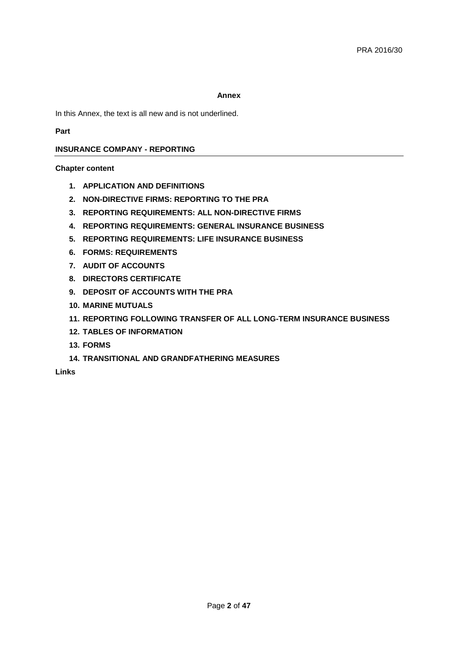## **Annex**

In this Annex, the text is all new and is not underlined.

**Part** 

# **INSURANCE COMPANY - REPORTING**

# **Chapter content**

- **1. APPLICATION AND DEFINITIONS**
- **2. NON-DIRECTIVE FIRMS: REPORTING TO THE PRA**
- **3. REPORTING REQUIREMENTS: ALL NON-DIRECTIVE FIRMS**
- **4. REPORTING REQUIREMENTS: GENERAL INSURANCE BUSINESS**
- **5. REPORTING REQUIREMENTS: LIFE INSURANCE BUSINESS**
- **6. FORMS: REQUIREMENTS**
- **7. AUDIT OF ACCOUNTS**
- **8. DIRECTORS CERTIFICATE**
- **9. DEPOSIT OF ACCOUNTS WITH THE PRA**
- **10. MARINE MUTUALS**
- **11. REPORTING FOLLOWING TRANSFER OF ALL LONG-TERM INSURANCE BUSINESS**
- **12. TABLES OF INFORMATION**
- **13. FORMS**
- **14. TRANSITIONAL AND GRANDFATHERING MEASURES**

**Links**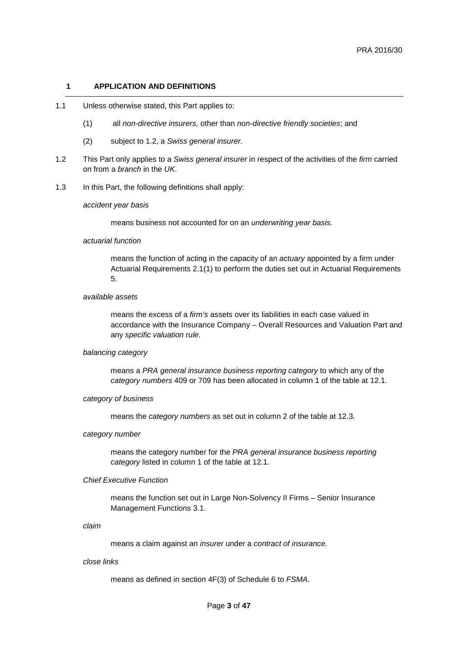### **1 APPLICATION AND DEFINITIONS**

- 1.1 Unless otherwise stated, this Part applies to:
	- (1) all *non-directive insurers,* other than *non-directive friendly societies*; and
	- (2) subject to 1.2, a *Swiss general insurer.*
- 1.2 This Part only applies to a *Swiss general insurer* in respect of the activities of the *firm* carried on from a *branch* in the *UK*.
- 1.3 In this Part, the following definitions shall apply:

#### *accident year basis*

means business not accounted for on an *underwriting year basis.*

## *actuarial function*

means the function of acting in the capacity of an *actuary* appointed by a firm under Actuarial Requirements 2.1(1) to perform the duties set out in Actuarial Requirements 5.

## *available assets*

means the excess of a *firm's* assets over its liabilities in each case valued in accordance with the Insurance Company – Overall Resources and Valuation Part and any *specific valuation rule*.

### *balancing category*

means a *PRA general insurance business reporting category* to which any of the *category numbers* 409 or 709 has been allocated in column 1 of the table at 12.1.

#### *category of business*

means the *category numbers* as set out in column 2 of the table at 12.3.

#### *category number*

means the category number for the *PRA general insurance business reporting category* listed in column 1 of the table at 12.1.

# *Chief Executive Function*

means the function set out in Large Non-Solvency II Firms – Senior Insurance Management Functions 3.1.

*claim*

means a claim against an *insurer* under a *contract of insurance.*

#### *close links*

means as defined in section 4F(3) of Schedule 6 to *FSMA*.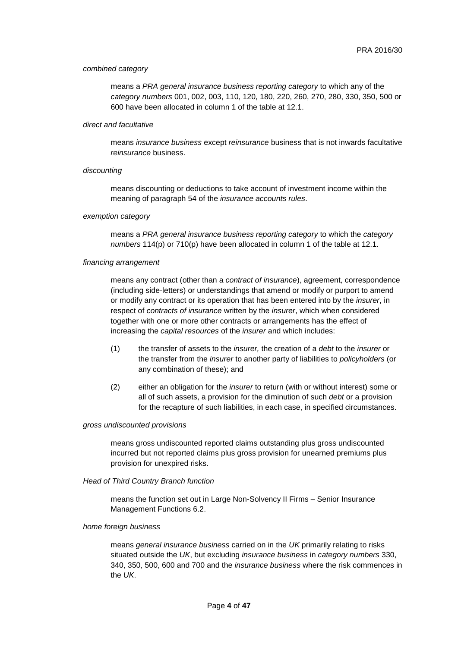### *combined category*

means a *PRA general insurance business reporting category* to which any of the *category numbers* 001, 002, 003, 110, 120, 180, 220, 260, 270, 280, 330, 350, 500 or 600 have been allocated in column 1 of the table at 12.1.

#### *direct and facultative*

means *insurance business* except *reinsurance* business that is not inwards facultative *reinsurance* business.

## *discounting*

means discounting or deductions to take account of investment income within the meaning of paragraph 54 of the *insurance accounts rules*.

## *exemption category*

means a *PRA general insurance business reporting category* to which the *category numbers* 114(p) or 710(p) have been allocated in column 1 of the table at 12.1.

### *financing arrangement*

means any contract (other than a *contract of insurance*), agreement, correspondence (including side-letters) or understandings that amend or modify or purport to amend or modify any contract or its operation that has been entered into by the *insurer*, in respect of *contracts of insurance* written by the *insurer*, which when considered together with one or more other contracts or arrangements has the effect of increasing the *capital resources* of the *insurer* and which includes:

- (1) the transfer of assets to the *insurer,* the creation of a *debt* to the *insurer* or the transfer from the *insurer* to another party of liabilities to *policyholders* (or any combination of these); and
- (2) either an obligation for the *insurer* to return (with or without interest) some or all of such assets, a provision for the diminution of such *debt* or a provision for the recapture of such liabilities, in each case, in specified circumstances.

### *gross undiscounted provisions*

means gross undiscounted reported claims outstanding plus gross undiscounted incurred but not reported claims plus gross provision for unearned premiums plus provision for unexpired risks.

### *Head of Third Country Branch function*

means the function set out in Large Non-Solvency II Firms – Senior Insurance Management Functions 6.2.

### *home foreign business*

means *general insurance business* carried on in the *UK* primarily relating to risks situated outside the *UK*, but excluding *insurance business* in *category numbers* 330, 340, 350, 500, 600 and 700 and the *insurance business* where the risk commences in the *UK*.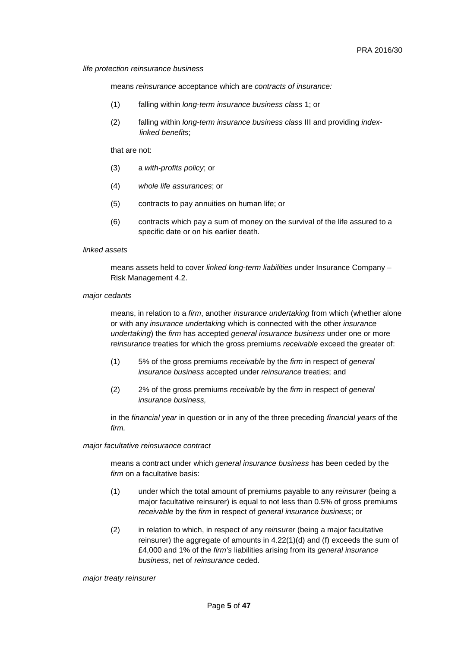### *life protection reinsurance business*

means *reinsurance* acceptance which are *contracts of insurance:*

- (1) falling within *long-term insurance business class* 1; or
- (2) falling within *long-term insurance business class* III and providing *index linked benefits*;

that are not:

- (3) a *with-profits policy*; or
- (4) *whole life assurances*; or
- (5) contracts to pay annuities on human life; or
- (6) contracts which pay a sum of money on the survival of the life assured to a specific date or on his earlier death.

### *linked assets*

means assets held to cover *linked long-term liabilities* under Insurance Company – Risk Management 4.2.

#### *major cedants*

means, in relation to a *firm*, another *insurance undertaking* from which (whether alone or with any *insurance undertaking* which is connected with the other *insurance undertaking*) the *firm* has accepted *general insurance business* under one or more *reinsurance* treaties for which the gross premiums *receivable* exceed the greater of:

- (1) 5% of the gross premiums *receivable* by the *firm* in respect of *general insurance business* accepted under *reinsurance* treaties; and
- (2) 2% of the gross premiums *receivable* by the *firm* in respect of *general insurance business,*

in the *financial year* in question or in any of the three preceding *financial years* of the *firm.*

#### *major facultative reinsurance contract*

means a contract under which *general insurance business* has been ceded by the firm on a facultative basis:

- (1) under which the total amount of premiums payable to any *reinsurer* (being a major facultative reinsurer) is equal to not less than 0.5% of gross premiums *receivable* by the *firm* in respect of *general insurance business*; or
- (2) in relation to which, in respect of any *reinsurer* (being a major facultative reinsurer) the aggregate of amounts in 4.22(1)(d) and (f) exceeds the sum of £4,000 and 1% of the *firm's* liabilities arising from its *general insurance business*, net of *reinsurance* ceded.

*major treaty reinsurer*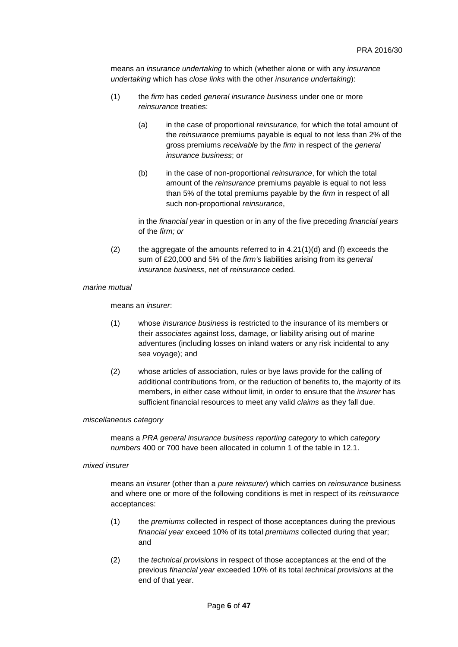means an *insurance undertaking* to which (whether alone or with any *insurance undertaking* which has *close links* with the other *insurance undertaking*):

- (1) the *firm* has ceded *general insurance business* under one or more *reinsurance* treaties:
	- (a) in the case of proportional *reinsurance*, for which the total amount of the *reinsurance* premiums payable is equal to not less than 2% of the gross premiums *receivable* by the *firm* in respect of the *general insurance business*; or
	- (b) in the case of non-proportional *reinsurance*, for which the total amount of the *reinsurance* premiums payable is equal to not less than 5% of the total premiums payable by the *firm* in respect of all such non-proportional *reinsurance*,

in the *financial year* in question or in any of the five preceding *financial years* of the *firm; or*

(2) the aggregate of the amounts referred to in  $4.21(1)(d)$  and (f) exceeds the sum of £20,000 and 5% of the *firm's* liabilities arising from its *general insurance business*, net of *reinsurance* ceded.

### *marine mutual*

means an *insurer*:

- (1) whose *insurance business* is restricted to the insurance of its members or their *associates* against loss, damage, or liability arising out of marine adventures (including losses on inland waters or any risk incidental to any sea voyage); and
- (2) whose articles of association, rules or bye laws provide for the calling of additional contributions from, or the reduction of benefits to, the majority of its members, in either case without limit, in order to ensure that the *insurer* has sufficient financial resources to meet any valid *claims* as they fall due.

### *miscellaneous category*

means a *PRA general insurance business reporting category* to which *category numbers* 400 or 700 have been allocated in column 1 of the table in 12.1.

## *mixed insurer*

means an *insurer* (other than a *pure reinsurer*) which carries on *reinsurance* business and where one or more of the following conditions is met in respect of its *reinsurance*  acceptances:

- (1) the *premiums* collected in respect of those acceptances during the previous *financial year* exceed 10% of its total *premiums* collected during that year; and
- (2) the *technical provisions* in respect of those acceptances at the end of the previous *financial year* exceeded 10% of its total *technical provisions* at the end of that year.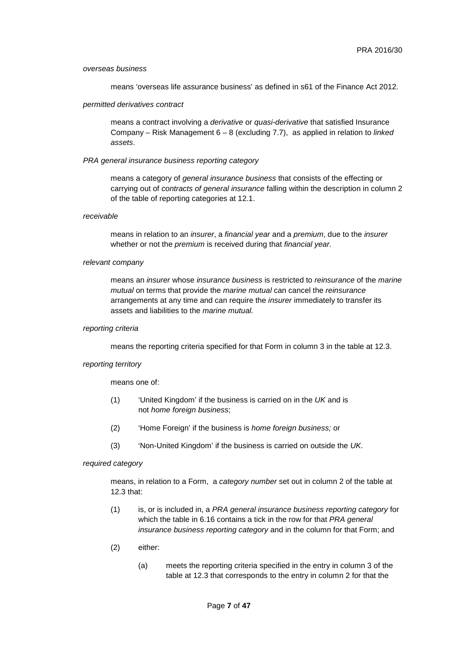### *overseas business*

means 'overseas life assurance business' as defined in s61 of the Finance Act 2012.

### *permitted derivatives contract*

means a contract involving a *derivative* or *quasi-derivative* that satisfied Insurance Company – Risk Management 6 – 8 (excluding 7.7), as applied in relation to *linked assets*.

### *PRA general insurance business reporting category*

means a category of *general insurance business* that consists of the effecting or carrying out of *contracts of general insurance* falling within the description in column 2 of the table of reporting categories at 12.1.

#### *receivable*

means in relation to an *insurer*, a *financial year* and a *premium*, due to the *insurer* whether or not the *premium* is received during that *financial year.*

### *relevant company*

means an *insurer* whose *insurance business* is restricted to *reinsurance* of the *marine mutual* on terms that provide the *marine mutual* can cancel the *reinsurance* arrangements at any time and can require the *insurer* immediately to transfer its assets and liabilities to the *marine mutual.*

#### *reporting criteria*

means the reporting criteria specified for that Form in column 3 in the table at 12.3.

### *reporting territory*

means one of:

- (1) 'United Kingdom' if the business is carried on in the *UK* and is not *home foreign business*;
- (2) 'Home Foreign' if the business is *home foreign business;* or
- (3) 'Non-United Kingdom' if the business is carried on outside the *UK*.

### *required category*

means, in relation to a Form, a *category number* set out in column 2 of the table at 12.3 that:

- (1) is, or is included in, a *PRA general insurance business reporting category* for which the table in 6.16 contains a tick in the row for that *PRA general insurance business reporting category* and in the column for that Form; and
- (2) either:
	- (a) meets the reporting criteria specified in the entry in column 3 of the table at 12.3 that corresponds to the entry in column 2 for that the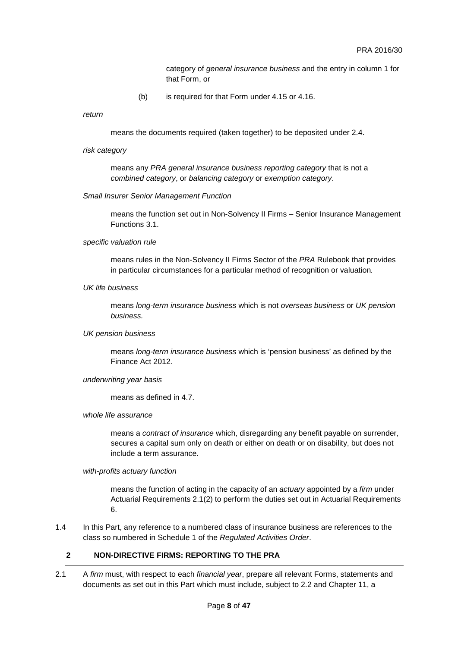category of *general insurance business* and the entry in column 1 for that Form, or

(b) is required for that Form under 4.15 or 4.16.

*return*

means the documents required (taken together) to be deposited under 2.4.

#### *risk category*

means any *PRA general insurance business reporting category* that is not a *combined category*, or *balancing category* or *exemption category*.

#### *Small Insurer Senior Management Function*

means the function set out in Non-Solvency II Firms – Senior Insurance Management Functions 3.1.

### *specific valuation rule*

means rules in the Non-Solvency II Firms Sector of the *[PRA](http://www.prarulebook.co.uk/rulebook/Glossary/FullDefinition/52117/15-04-2016)* Rulebook that provides in particular circumstances for a particular method of recognition or valuation*.*

*UK life business*

means *long-term insurance business* which is not *overseas business* or *UK pension business.*

### *UK pension business*

means *long-term insurance business* which is 'pension business' as defined by the Finance Act 2012*.*

## *underwriting year basis*

means as defined in 4.7.

### *whole life assurance*

means a *contract of insurance* which, disregarding any benefit payable on surrender, secures a capital sum only on death or either on death or on disability, but does not include a term assurance.

#### *with-profits actuary function*

means the function of acting in the capacity of an *actuary* appointed by a *firm* under Actuarial Requirements 2.1(2) to perform the duties set out in Actuarial Requirements 6.

1.4 In this Part, any reference to a numbered class of insurance business are references to the class so numbered in Schedule 1 of the *Regulated Activities Order*.

# **2 NON-DIRECTIVE FIRMS: REPORTING TO THE PRA**

2.1 A *firm* must, with respect to each *financial year*, prepare all relevant Forms, statements and documents as set out in this Part which must include, subject to 2.2 and Chapter 11, a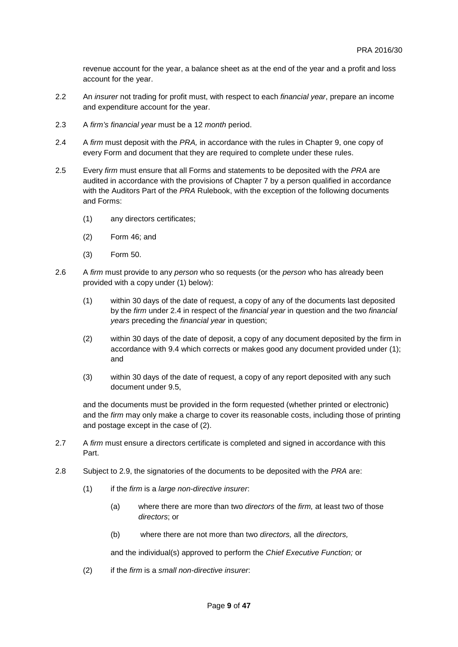revenue account for the year, a balance sheet as at the end of the year and a profit and loss account for the year.

- 2.2 An *insurer* not trading for profit must, with respect to each *financial year*, prepare an income and expenditure account for the year.
- 2.3 A *firm's financial year* must be a 12 *month* period.
- 2.4 A *firm* must deposit with the *PRA,* in accordance with the rules in Chapter 9, one copy of every Form and document that they are required to complete under these rules.
- 2.5 Every *firm* must ensure that all Forms and statements to be deposited with the *PRA* are audited in accordance with the provisions of Chapter 7 by a person qualified in accordance with the Auditors Part of the *PRA* Rulebook, with the exception of the following documents and Forms:
	- (1) any directors certificates;
	- (2) Form 46; and
	- (3) Form 50.
- 2.6 A *firm* must provide to any *person* who so requests (or the *person* who has already been provided with a copy under (1) below):
	- (1) within 30 days of the date of request, a copy of any of the documents last deposited by the *firm* under 2.4 in respect of the *financial year* in question and the two *financial years* preceding the *financial year* in question;
	- (2) within 30 days of the date of deposit, a copy of any document deposited by the firm in accordance with 9.4 which corrects or makes good any document provided under (1); and
	- (3) within 30 days of the date of request, a copy of any report deposited with any such document under 9.5,

and the documents must be provided in the form requested (whether printed or electronic) and the *firm* may only make a charge to cover its reasonable costs, including those of printing and postage except in the case of (2).

- 2.7 A *firm* must ensure a directors certificate is completed and signed in accordance with this Part.
- 2.8 Subject to 2.9, the signatories of the documents to be deposited with the *PRA* are:
	- (1) if the *firm* is a *large non-directive insurer*:
		- (a) where there are more than two *directors* of the *firm,* at least two of those *directors*; or
		- (b) where there are not more than two *directors,* all the *directors,*

and the individual(s) approved to perform the *Chief Executive Function;* or

(2) if the *firm* is a *small non-directive insurer*: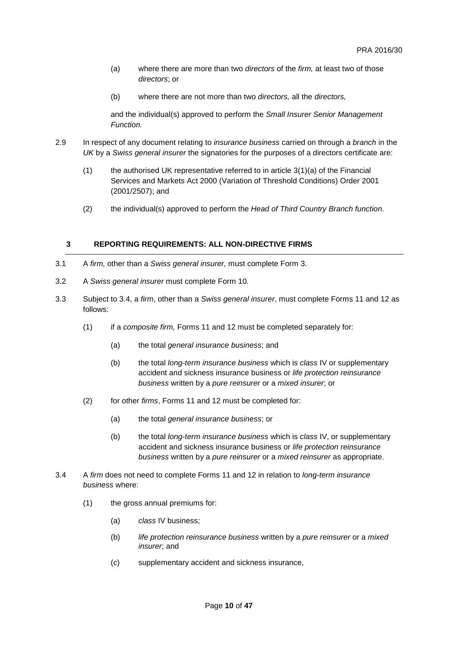- (a) where there are more than two *directors* of the *firm,* at least two of those *directors*; or
- (b) where there are not more than two *directors,* all the *directors,*

and the individual(s) approved to perform the *Small Insurer Senior Management Function.*

- 2.9 In respect of any document relating to *insurance business* carried on through a *branch* in the *UK* by a *Swiss general insurer* the signatories for the purposes of a directors certificate are:
	- $(1)$  the authorised UK representative referred to in article  $3(1)(a)$  of the Financial Services and Markets Act 2000 (Variation of Threshold Conditions) Order 2001 (2001/2507); and
	- (2) the individual(s) approved to perform the *Head of Third Country Branch function*.

## **3 REPORTING REQUIREMENTS: ALL NON-DIRECTIVE FIRMS**

- 3.1 A *firm,* other than a *Swiss general insurer,* must complete Form 3.
- 3.2 A *Swiss general insurer* must complete Form 10*.*
- 3.3 Subject to 3.4, a *firm*, other than a *Swiss general insurer*, must complete Forms 11 and 12 as follows:
	- (1) if a *composite firm,* Forms 11 and 12 must be completed separately for:
		- (a) the total *general insurance business*; and
		- (b) the total *long-term insurance business* which is *class* IV or supplementary accident and sickness insurance business or *life protection reinsurance business* written by a *pure reinsurer* or a *mixed insurer*; or
	- (2) for other *firms*, Forms 11 and 12 must be completed for:
		- (a) the total *general insurance business*; or
		- (b) the total *long-term insurance business* which is *class* IV, or supplementary accident and sickness insurance business or *life protection reinsurance business* written by a *pure reinsurer* or a *mixed reinsurer* as appropriate.
- 3.4 A *firm* does not need to complete Forms 11 and 12 in relation to *long-term insurance business* where:
	- (1) the gross annual premiums for:
		- (a) *class* IV business;
		- (b) *life protection reinsurance business* written by a *pure reinsurer* or a *mixed insurer*; and
		- (c) supplementary accident and sickness insurance,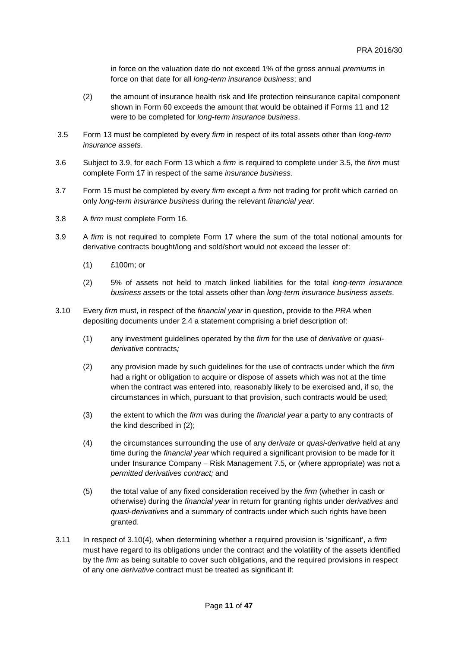in force on the valuation date do not exceed 1% of the gross annual *premiums* in force on that date for all *long-term insurance business*; and

- (2) the amount of insurance health risk and life protection reinsurance capital component shown in Form 60 exceeds the amount that would be obtained if Forms 11 and 12 were to be completed for *long-term insurance business*.
- 3.5 Form 13 must be completed by every *firm* in respect of its total assets other than *long-term insurance assets*.
- 3.6 Subject to 3.9, for each Form 13 which a *firm* is required to complete under 3.5, the *firm* must complete Form 17 in respect of the same *insurance business*.
- 3.7 Form 15 must be completed by every *firm* except a *firm* not trading for profit which carried on only *long-term insurance business* during the relevant *financial year.*
- 3.8 A *firm* must complete Form 16.
- 3.9 A *firm* is not required to complete Form 17 where the sum of the total notional amounts for derivative contracts bought/long and sold/short would not exceed the lesser of:
	- (1) £100m; or
	- (2) 5% of assets not held to match linked liabilities for the total *long-term insurance business assets* or the total assets other than *long-term insurance business assets*.
- 3.10 Every *firm* must, in respect of the *financial year* in question, provide to the *PRA* when depositing documents under 2.4 a statement comprising a brief description of:
	- (1) any investment guidelines operated by the *firm* for the use of *derivative* or *quasiderivative* contracts*;*
	- (2) any provision made by such guidelines for the use of contracts under which the *firm* had a right or obligation to acquire or dispose of assets which was not at the time when the contract was entered into, reasonably likely to be exercised and, if so, the circumstances in which, pursuant to that provision, such contracts would be used;
	- (3) the extent to which the *firm* was during the *financial year* a party to any contracts of the kind described in (2);
	- (4) the circumstances surrounding the use of any *derivate* or *quasi-derivative* held at any time during the *financial year* which required a significant provision to be made for it under Insurance Company – Risk Management 7.5, or (where appropriate) was not a *permitted derivatives contract;* and
	- (5) the total value of any fixed consideration received by the *firm* (whether in cash or otherwise) during the *financial year* in return for granting rights under *derivatives* and *quasi-derivatives* and a summary of contracts under which such rights have been granted.
- 3.11 In respect of 3.10(4), when determining whether a required provision is 'significant', a *firm* must have regard to its obligations under the contract and the volatility of the assets identified by the *firm* as being suitable to cover such obligations, and the required provisions in respect of any one *derivative* contract must be treated as significant if: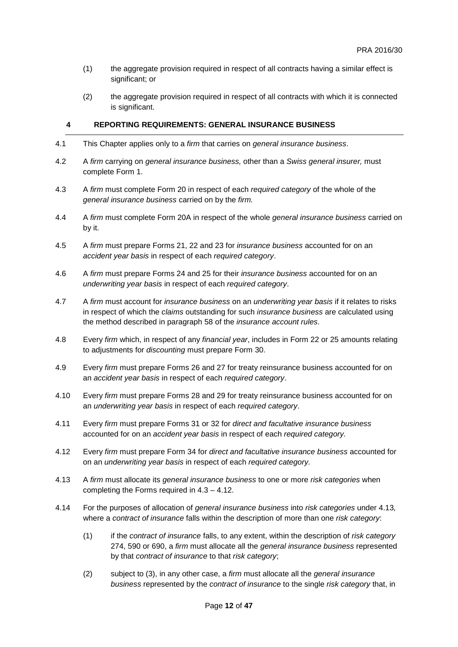- (1) the aggregate provision required in respect of all contracts having a similar effect is significant; or
- (2) the aggregate provision required in respect of all contracts with which it is connected is significant.

# **4 REPORTING REQUIREMENTS: GENERAL INSURANCE BUSINESS**

- 4.1 This Chapter applies only to a *firm* that carries on *general insurance business*.
- 4.2 A *firm* carrying on *general insurance business,* other than a *Swiss general insurer,* must complete Form 1.
- 4.3 A *firm* must complete Form 20 in respect of each *required category* of the whole of the *general insurance business* carried on by the *firm.*
- 4.4 A *firm* must complete Form 20A in respect of the whole *general insurance business* carried on by it.
- 4.5 A *firm* must prepare Forms 21, 22 and 23 for *insurance business* accounted for on an *accident year basis* in respect of each *required category*.
- 4.6 A *firm* must prepare Forms 24 and 25 for their *insurance business* accounted for on an *underwriting year basis* in respect of each *required category*.
- 4.7 A *firm* must account for *insurance business* on an *underwriting year basis* if it relates to risks in respect of which the *claims* outstanding for such *insurance business* are calculated using the method described in paragraph 58 of the *insurance account rules*.
- 4.8 Every *firm* which, in respect of any *financial year*, includes in Form 22 or 25 amounts relating to adjustments for *discounting* must prepare Form 30.
- 4.9 Every *firm* must prepare Forms 26 and 27 for treaty reinsurance business accounted for on an *accident year basis* in respect of each *required category*.
- 4.10 Every *firm* must prepare Forms 28 and 29 for treaty reinsurance business accounted for on an *underwriting year basis* in respect of each *required category*.
- 4.11 Every *firm* must prepare Forms 31 or 32 for *direct and facultative insurance business* accounted for on an *accident year basis* in respect of each *required category.*
- 4.12 Every *firm* must prepare Form 34 for *direct and facultative insurance business* accounted for on an *underwriting year basis* in respect of each *required category.*
- 4.13 A *firm* must allocate its *general insurance business* to one or more *risk categories* when completing the Forms required in 4.3 – 4.12.
- 4.14 For the purposes of allocation of *general insurance business* into *risk categories* under 4.13*,* where a *contract of insurance* falls within the description of more than one *risk category*:
	- (1) if the *contract of insurance* falls, to any extent, within the description of *risk category*  274, 590 or 690, a *firm* must allocate all the *general insurance business* represented by that *contract of insurance* to that *risk category*;
	- (2) subject to (3), in any other case, a *firm* must allocate all the *general insurance business* represented by the *contract of insurance* to the single *risk category* that, in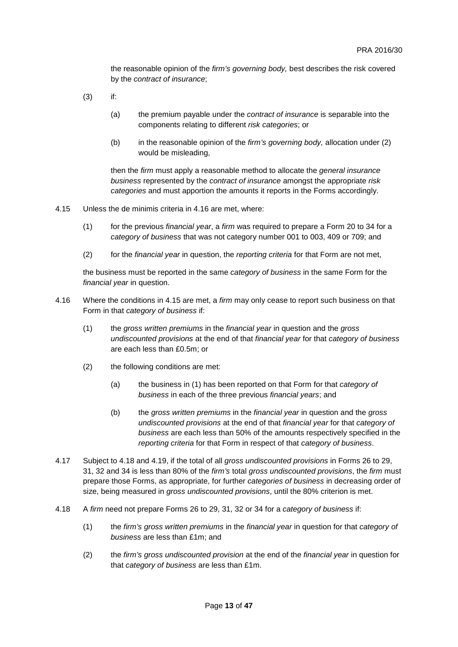the reasonable opinion of the *firm's governing body,* best describes the risk covered by the *contract of insurance*;

- (3) if:
	- (a) the premium payable under the *contract of insurance* is separable into the components relating to different *risk categories*; or
	- (b) in the reasonable opinion of the *firm's governing body,* allocation under (2) would be misleading,

then the *firm* must apply a reasonable method to allocate the *general insurance business* represented by the *contract of insurance* amongst the appropriate *risk categories* and must apportion the amounts it reports in the Forms accordingly.

- 4.15 Unless the de minimis criteria in 4.16 are met, where:
	- (1) for the previous *financial year*, a *firm* was required to prepare a Form 20 to 34 for a *category of business* that was not category number 001 to 003, 409 or 709; and
	- (2) for the *financial year* in question, the *reporting criteria* for that Form are not met,

the business must be reported in the same *category of business* in the same Form for the *financial year* in question.

- 4.16 Where the conditions in 4.15 are met, a *firm* may only cease to report such business on that Form in that *category of business* if:
	- (1) the *gross written premiums* in the *financial year* in question and the *gross undiscounted provisions* at the end of that *financial year* for that *category of business* are each less than £0.5m; or
	- (2) the following conditions are met:
		- (a) the business in (1) has been reported on that Form for that *category of business* in each of the three previous *financial years*; and
		- (b) the *gross written premiums* in the *financial year* in question and the *gross undiscounted provisions* at the end of that *financial year* for that *category of business* are each less than 50% of the amounts respectively specified in the *reporting criteria* for that Form in respect of that *category of business*.
- 4.17 Subject to 4.18 and 4.19, if the total of all *gross undiscounted provisions* in Forms 26 to 29, 31, 32 and 34 is less than 80% of the *firm's* total *gross undiscounted provisions*, the *firm* must prepare those Forms, as appropriate, for further *categories of business* in decreasing order of size, being measured in *gross undiscounted provisions*, until the 80% criterion is met.
- 4.18 A *firm* need not prepare Forms 26 to 29, 31, 32 or 34 for a *category of business* if:
	- (1) the *firm's gross written premiums* in the *financial year* in question for that *category of business* are less than £1m; and
	- (2) the *firm's gross undiscounted provision* at the end of the *financial year* in question for that *category of business* are less than £1m.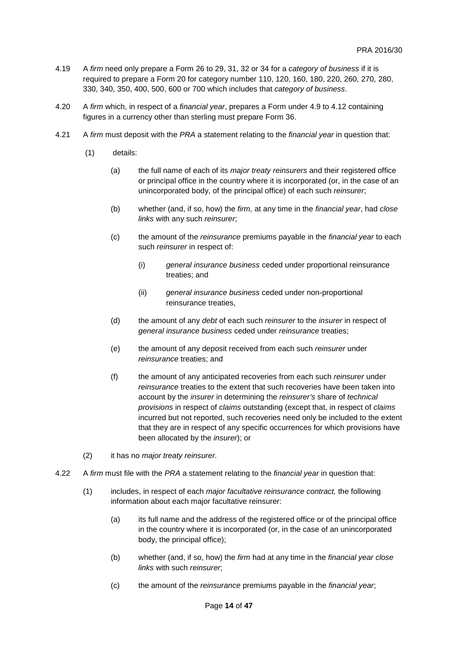- 4.19 A *firm* need only prepare a Form 26 to 29, 31, 32 or 34 for a *category of business* if it is required to prepare a Form 20 for category number 110, 120, 160, 180, 220, 260, 270, 280, 330, 340, 350, 400, 500, 600 or 700 which includes that *category of business*.
- 4.20 A *firm* which, in respect of a *financial year*, prepares a Form under 4.9 to 4.12 containing figures in a currency other than sterling must prepare Form 36.
- 4.21 A *firm* must deposit with the *PRA* a statement relating to the *financial year* in question that:
	- (1) details:
		- (a) the full name of each of its *major treaty reinsurers* and their registered office or principal office in the country where it is incorporated (or, in the case of an unincorporated body, of the principal office) of each such *reinsurer*;
		- (b) whether (and, if so, how) the *firm,* at any time in the *financial year*, had *close links* with any such *reinsurer*;
		- (c) the amount of the *reinsurance* premiums payable in the *financial year* to each such *reinsurer* in respect of:
			- (i) *general insurance business* ceded under proportional reinsurance treaties; and
			- (ii) *general insurance business* ceded under non-proportional reinsurance treaties,
		- (d) the amount of any *debt* of each such *reinsurer* to the *insurer* in respect of *general insurance business* ceded under *reinsurance* treaties;
		- (e) the amount of any deposit received from each such *reinsurer* under *reinsurance* treaties; and
		- (f) the amount of any anticipated recoveries from each such *reinsurer* under *reinsurance* treaties to the extent that such recoveries have been taken into account by the *insurer* in determining the *reinsurer's* share of *technical provisions* in respect of *claims* outstanding (except that, in respect of *claims* incurred but not reported, such recoveries need only be included to the extent that they are in respect of any specific occurrences for which provisions have been allocated by the *insurer*); or
	- (2) it has no *major treaty reinsurer.*
- 4.22 A *firm* must file with the *PRA* a statement relating to the *financial year* in question that:
	- (1) includes, in respect of each *major facultative reinsurance contract,* the following information about each major facultative reinsurer:
		- (a) its full name and the address of the registered office or of the principal office in the country where it is incorporated (or, in the case of an unincorporated body, the principal office);
		- (b) whether (and, if so, how) the *firm* had at any time in the *financial year close links* with such *reinsurer*;
		- (c) the amount of the *reinsurance* premiums payable in the *financial year*;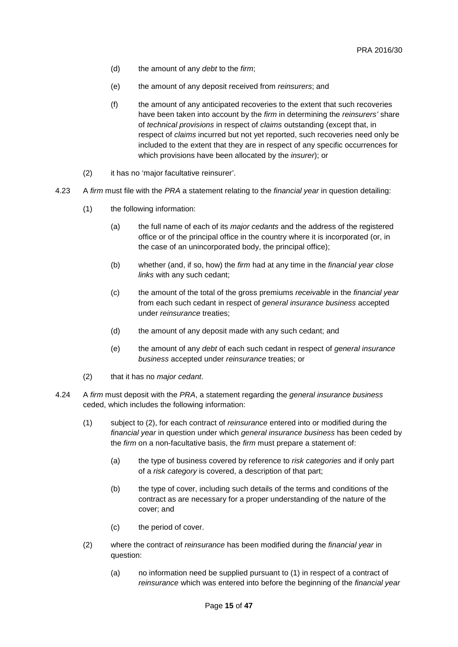- (d) the amount of any *debt* to the *firm*;
- (e) the amount of any deposit received from *reinsurers*; and
- (f) the amount of any anticipated recoveries to the extent that such recoveries have been taken into account by the *firm* in determining the *reinsurers'* share of *technical provisions* in respect of *claims* outstanding (except that, in respect of *claims* incurred but not yet reported, such recoveries need only be included to the extent that they are in respect of any specific occurrences for which provisions have been allocated by the *insurer*); or
- (2) it has no 'major facultative reinsurer'.
- 4.23 A *firm* must file with the *PRA* a statement relating to the *financial year* in question detailing:
	- (1) the following information:
		- (a) the full name of each of its *major cedants* and the address of the registered office or of the principal office in the country where it is incorporated (or, in the case of an unincorporated body, the principal office);
		- (b) whether (and, if so, how) the *firm* had at any time in the *financial year close links* with any such cedant;
		- (c) the amount of the total of the gross premiums *receivable* in the *financial year* from each such cedant in respect of *general insurance business* accepted under *reinsurance* treaties;
		- (d) the amount of any deposit made with any such cedant; and
		- (e) the amount of any *debt* of each such cedant in respect of *general insurance business* accepted under *reinsurance* treaties; or
	- (2) that it has no *major cedant*.
- 4.24 A *firm* must deposit with the *PRA*, a statement regarding the *general insurance business* ceded, which includes the following information:
	- (1) subject to (2), for each contract of *reinsurance* entered into or modified during the *financial year* in question under which *general insurance business* has been ceded by the *firm* on a non-facultative basis, the *firm* must prepare a statement of:
		- (a) the type of business covered by reference to *risk categories* and if only part of a *risk category* is covered, a description of that part;
		- (b) the type of cover, including such details of the terms and conditions of the contract as are necessary for a proper understanding of the nature of the cover; and
		- (c) the period of cover.
	- (2) where the contract of *reinsurance* has been modified during the *financial year* in question:
		- (a) no information need be supplied pursuant to (1) in respect of a contract of *reinsurance* which was entered into before the beginning of the *financial year*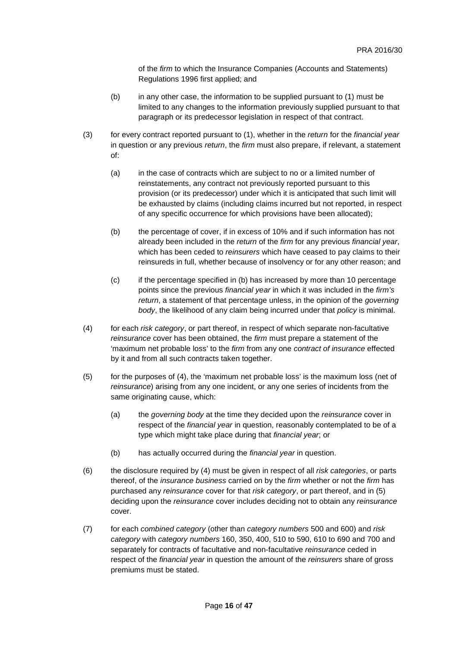of the *firm* to which the Insurance Companies (Accounts and Statements) Regulations 1996 first applied; and

- (b) in any other case, the information to be supplied pursuant to (1) must be limited to any changes to the information previously supplied pursuant to that paragraph or its predecessor legislation in respect of that contract.
- (3) for every contract reported pursuant to (1), whether in the *return* for the *financial year* in question or any previous *return*, the *firm* must also prepare, if relevant, a statement of:
	- (a) in the case of contracts which are subject to no or a limited number of reinstatements, any contract not previously reported pursuant to this provision (or its predecessor) under which it is anticipated that such limit will be exhausted by claims (including claims incurred but not reported, in respect of any specific occurrence for which provisions have been allocated);
	- (b) the percentage of cover, if in excess of 10% and if such information has not already been included in the *return* of the *firm* for any previous *financial year*, which has been ceded to *reinsurers* which have ceased to pay claims to their reinsureds in full, whether because of insolvency or for any other reason; and
	- (c) if the percentage specified in (b) has increased by more than 10 percentage points since the previous *financial year* in which it was included in the *firm's return*, a statement of that percentage unless, in the opinion of the *governing body*, the likelihood of any claim being incurred under that *policy* is minimal.
- (4) for each *risk category*, or part thereof, in respect of which separate non-facultative *reinsurance* cover has been obtained, the *firm* must prepare a statement of the 'maximum net probable loss' to the *firm* from any one *contract of insurance* effected by it and from all such contracts taken together.
- (5) for the purposes of (4), the 'maximum net probable loss' is the maximum loss (net of *reinsurance*) arising from any one incident, or any one series of incidents from the same originating cause, which:
	- (a) the *governing body* at the time they decided upon the *reinsurance* cover in respect of the *financial year* in question, reasonably contemplated to be of a type which might take place during that *financial year*; or
	- (b) has actually occurred during the *financial year* in question.
- (6) the disclosure required by (4) must be given in respect of all *risk categories*, or parts thereof, of the *insurance business* carried on by the *firm* whether or not the *firm* has purchased any *reinsurance* cover for that *risk category*, or part thereof, and in (5) deciding upon the *reinsurance* cover includes deciding not to obtain any *reinsurance*  cover.
- (7) for each *combined category* (other than *category numbers* 500 and 600) and *risk category* with *category numbers* 160, 350, 400, 510 to 590, 610 to 690 and 700 and separately for contracts of facultative and non-facultative *reinsurance* ceded in respect of the *financial year* in question the amount of the *reinsurers* share of gross premiums must be stated.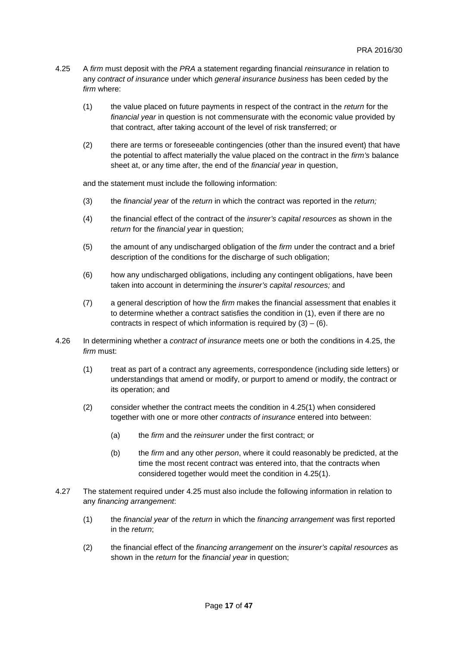- 4.25 A *firm* must deposit with the *PRA* a statement regarding financial *reinsurance* in relation to any *contract of insurance* under which *general insurance business* has been ceded by the *firm* where:
	- (1) the value placed on future payments in respect of the contract in the *return* for the *financial year* in question is not commensurate with the economic value provided by that contract, after taking account of the level of risk transferred; or
	- (2) there are terms or foreseeable contingencies (other than the insured event) that have the potential to affect materially the value placed on the contract in the *firm's* balance sheet at, or any time after, the end of the *financial year* in question,

and the statement must include the following information:

- (3) the *financial year* of the *return* in which the contract was reported in the *return;*
- (4) the financial effect of the contract of the *insurer's capital resources* as shown in the *return* for the *financial year* in question;
- (5) the amount of any undischarged obligation of the *firm* under the contract and a brief description of the conditions for the discharge of such obligation;
- (6) how any undischarged obligations, including any contingent obligations, have been taken into account in determining the *insurer's capital resources;* and
- (7) a general description of how the *firm* makes the financial assessment that enables it to determine whether a contract satisfies the condition in (1), even if there are no contracts in respect of which information is required by  $(3) - (6)$ .
- 4.26 In determining whether a *contract of insurance* meets one or both the conditions in 4.25, the *firm* must:
	- (1) treat as part of a contract any agreements, correspondence (including side letters) or understandings that amend or modify, or purport to amend or modify, the contract or its operation; and
	- (2) consider whether the contract meets the condition in 4.25(1) when considered together with one or more other *contracts of insurance* entered into between:
		- (a) the *firm* and the *reinsurer* under the first contract; or
		- (b) the *firm* and any other *person*, where it could reasonably be predicted, at the time the most recent contract was entered into, that the contracts when considered together would meet the condition in 4.25(1).
- 4.27 The statement required under 4.25 must also include the following information in relation to any *financing arrangement*:
	- (1) the *financial year* of the *return* in which the *financing arrangement* was first reported in the *return*;
	- (2) the financial effect of the *financing arrangement* on the *insurer's capital resources* as shown in the *return* for the *financial year* in question;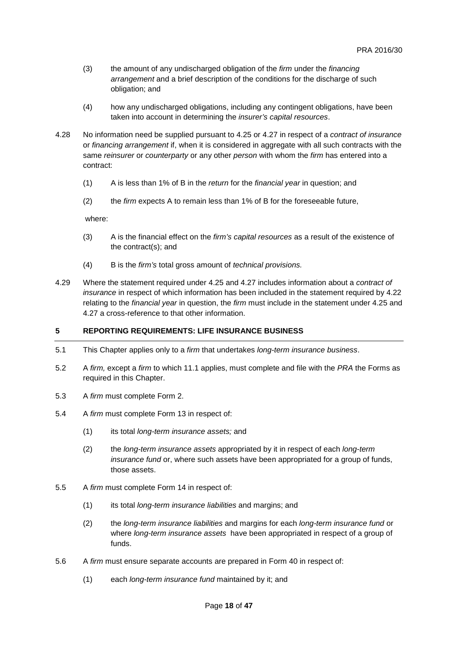- (3) the amount of any undischarged obligation of the *firm* under the *financing arrangement* and a brief description of the conditions for the discharge of such obligation; and
- (4) how any undischarged obligations, including any contingent obligations, have been taken into account in determining the *insurer's capital resources*.
- 4.28 No information need be supplied pursuant to 4.25 or 4.27 in respect of a *contract of insurance*  or *financing arrangement* if, when it is considered in aggregate with all such contracts with the same *reinsurer* or *counterparty* or any other *person* with whom the *firm* has entered into a contract:
	- (1) A is less than 1% of B in the *return* for the *financial year* in question; and
	- (2) the *firm* expects A to remain less than 1% of B for the foreseeable future,

where:

- (3) A is the financial effect on the *firm's capital resources* as a result of the existence of the contract(s); and
- (4) B is the *firm's* total gross amount of *technical provisions.*
- 4.29 Where the statement required under 4.25 and 4.27 includes information about a *contract of insurance* in respect of which information has been included in the statement required by 4.22 relating to the *financial year* in question, the *firm* must include in the statement under 4.25 and 4.27 a cross-reference to that other information.

# **5 REPORTING REQUIREMENTS: LIFE INSURANCE BUSINESS**

- 5.1 This Chapter applies only to a *firm* that undertakes *long-term insurance business*.
- 5.2 A *firm,* except a *firm* to which 11.1 applies, must complete and file with the *PRA* the Forms as required in this Chapter.
- 5.3 A *firm* must complete Form 2.
- 5.4 A *firm* must complete Form 13 in respect of:
	- (1) its total *long-term insurance assets;* and
	- (2) the *long-term insurance assets* appropriated by it in respect of each *long-term insurance fund* or, where such assets have been appropriated for a group of funds, those assets.
- 5.5 A *firm* must complete Form 14 in respect of:
	- (1) its total *long-term insurance liabilities* and margins; and
	- (2) the *long-term insurance liabilities* and margins for each *long-term insurance fund* or where *long-term insurance assets* have been appropriated in respect of a group of funds.
- 5.6 A *firm* must ensure separate accounts are prepared in Form 40 in respect of:
	- (1) each *long-term insurance fund* maintained by it; and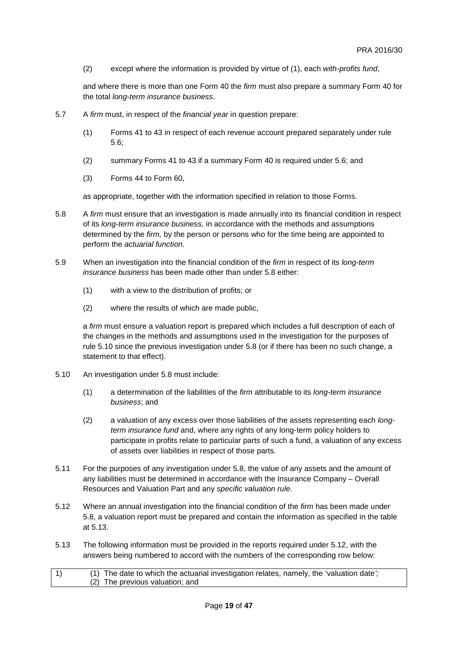(2) except where the information is provided by virtue of (1), each *with-profits fund*,

and where there is more than one Form 40 the *firm* must also prepare a summary Form 40 for the total *long-term insurance business*.

- 5.7 A *firm* must, in respect of the *financial year* in question prepare:
	- (1) Forms 41 to 43 in respect of each revenue account prepared separately under rule 5.6;
	- (2) summary Forms 41 to 43 if a summary Form 40 is required under 5.6; and
	- (3) Forms 44 to Form 60,

as appropriate, together with the information specified in relation to those Forms.

- 5.8 A *firm* must ensure that an investigation is made annually into its financial condition in respect of its *long-term insurance business,* in accordance with the methods and assumptions determined by the *firm,* by the person or persons who for the time being are appointed to perform the *actuarial function*.
- 5.9 When an investigation into the financial condition of the *firm* in respect of its *long-term insurance business* has been made other than under 5.8 either:
	- (1) with a view to the distribution of profits; or
	- (2) where the results of which are made public,

a *firm* must ensure a valuation report is prepared which includes a full description of each of the changes in the methods and assumptions used in the investigation for the purposes of rule 5.10 since the previous investigation under 5.8 (or if there has been no such change, a statement to that effect).

- 5.10 An investigation under 5.8 must include:
	- (1) a determination of the liabilities of the *firm* attributable to its *long-term insurance business*; and
	- (2) a valuation of any excess over those liabilities of the assets representing each *longterm insurance fund* and, where any rights of any long-term policy holders to participate in profits relate to particular parts of such a fund, a valuation of any excess of assets over liabilities in respect of those parts*.*
- 5.11 For the purposes of any investigation under 5.8, the value of any assets and the amount of any liabilities must be determined in accordance with the Insurance Company – Overall Resources and Valuation Part and any *specific valuation rule*.
- 5.12 Where an annual investigation into the financial condition of the *firm* has been made under 5.8, a valuation report must be prepared and contain the information as specified in the table at 5.13.
- 5.13 The following information must be provided in the reports required under 5.12, with the answers being numbered to accord with the numbers of the corresponding row below:

| (1) The date to which the actuarial investigation relates, namely, the 'valuation date'; |  |
|------------------------------------------------------------------------------------------|--|
| (2) The previous valuation; and                                                          |  |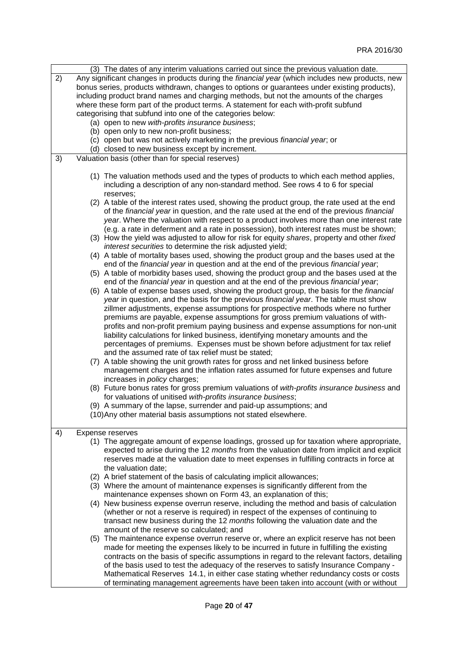|    | (3) The dates of any interim valuations carried out since the previous valuation date.                                                                                                          |
|----|-------------------------------------------------------------------------------------------------------------------------------------------------------------------------------------------------|
| 2) | Any significant changes in products during the financial year (which includes new products, new<br>bonus series, products withdrawn, changes to options or guarantees under existing products), |
|    | including product brand names and charging methods, but not the amounts of the charges                                                                                                          |
|    | where these form part of the product terms. A statement for each with-profit subfund                                                                                                            |
|    | categorising that subfund into one of the categories below:                                                                                                                                     |
|    | (a) open to new with-profits insurance business;                                                                                                                                                |
|    | (b) open only to new non-profit business;                                                                                                                                                       |
|    | (c) open but was not actively marketing in the previous financial year, or                                                                                                                      |
|    | (d) closed to new business except by increment.                                                                                                                                                 |
| 3) | Valuation basis (other than for special reserves)                                                                                                                                               |
|    | (1) The valuation methods used and the types of products to which each method applies,                                                                                                          |
|    | including a description of any non-standard method. See rows 4 to 6 for special                                                                                                                 |
|    | reserves;                                                                                                                                                                                       |
|    | (2) A table of the interest rates used, showing the product group, the rate used at the end                                                                                                     |
|    | of the financial year in question, and the rate used at the end of the previous financial                                                                                                       |
|    | year. Where the valuation with respect to a product involves more than one interest rate                                                                                                        |
|    | (e.g. a rate in deferment and a rate in possession), both interest rates must be shown;                                                                                                         |
|    | (3) How the yield was adjusted to allow for risk for equity shares, property and other fixed                                                                                                    |
|    | interest securities to determine the risk adjusted yield;<br>(4) A table of mortality bases used, showing the product group and the bases used at the                                           |
|    | end of the financial year in question and at the end of the previous financial year,                                                                                                            |
|    | (5) A table of morbidity bases used, showing the product group and the bases used at the                                                                                                        |
|    | end of the financial year in question and at the end of the previous financial year,                                                                                                            |
|    | (6) A table of expense bases used, showing the product group, the basis for the financial                                                                                                       |
|    | year in question, and the basis for the previous financial year. The table must show                                                                                                            |
|    | zillmer adjustments, expense assumptions for prospective methods where no further                                                                                                               |
|    | premiums are payable, expense assumptions for gross premium valuations of with-                                                                                                                 |
|    | profits and non-profit premium paying business and expense assumptions for non-unit                                                                                                             |
|    | liability calculations for linked business, identifying monetary amounts and the                                                                                                                |
|    | percentages of premiums. Expenses must be shown before adjustment for tax relief                                                                                                                |
|    | and the assumed rate of tax relief must be stated;                                                                                                                                              |
|    | (7) A table showing the unit growth rates for gross and net linked business before                                                                                                              |
|    | management charges and the inflation rates assumed for future expenses and future                                                                                                               |
|    | increases in <i>policy</i> charges;<br>(8) Future bonus rates for gross premium valuations of with-profits insurance business and                                                               |
|    | for valuations of unitised with-profits insurance business;                                                                                                                                     |
|    | (9) A summary of the lapse, surrender and paid-up assumptions; and                                                                                                                              |
|    | (10) Any other material basis assumptions not stated elsewhere.                                                                                                                                 |
|    |                                                                                                                                                                                                 |
| 4) | Expense reserves                                                                                                                                                                                |
|    | (1) The aggregate amount of expense loadings, grossed up for taxation where appropriate,                                                                                                        |
|    | expected to arise during the 12 months from the valuation date from implicit and explicit                                                                                                       |
|    | reserves made at the valuation date to meet expenses in fulfilling contracts in force at                                                                                                        |
|    | the valuation date;<br>(2) A brief statement of the basis of calculating implicit allowances;                                                                                                   |
|    | (3) Where the amount of maintenance expenses is significantly different from the                                                                                                                |
|    | maintenance expenses shown on Form 43, an explanation of this;                                                                                                                                  |
|    | (4) New business expense overrun reserve, including the method and basis of calculation                                                                                                         |
|    | (whether or not a reserve is required) in respect of the expenses of continuing to                                                                                                              |
|    | transact new business during the 12 months following the valuation date and the                                                                                                                 |
|    | amount of the reserve so calculated; and                                                                                                                                                        |
|    | (5) The maintenance expense overrun reserve or, where an explicit reserve has not been                                                                                                          |
|    | made for meeting the expenses likely to be incurred in future in fulfilling the existing                                                                                                        |
|    | contracts on the basis of specific assumptions in regard to the relevant factors, detailing                                                                                                     |
|    | of the basis used to test the adequacy of the reserves to satisfy Insurance Company -                                                                                                           |
|    | Mathematical Reserves 14.1, in either case stating whether redundancy costs or costs                                                                                                            |
|    | of terminating management agreements have been taken into account (with or without                                                                                                              |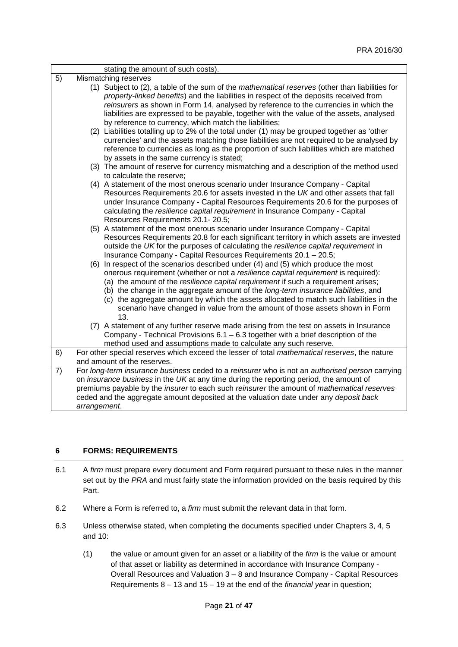|    |              | stating the amount of such costs).                                                                                                                                                  |
|----|--------------|-------------------------------------------------------------------------------------------------------------------------------------------------------------------------------------|
| 5) |              | Mismatching reserves                                                                                                                                                                |
|    |              | (1) Subject to (2), a table of the sum of the <i>mathematical reserves</i> (other than liabilities for                                                                              |
|    |              | property-linked benefits) and the liabilities in respect of the deposits received from                                                                                              |
|    |              | reinsurers as shown in Form 14, analysed by reference to the currencies in which the                                                                                                |
|    |              | liabilities are expressed to be payable, together with the value of the assets, analysed                                                                                            |
|    |              | by reference to currency, which match the liabilities;                                                                                                                              |
|    |              | (2) Liabilities totalling up to 2% of the total under (1) may be grouped together as 'other                                                                                         |
|    |              | currencies' and the assets matching those liabilities are not required to be analysed by<br>reference to currencies as long as the proportion of such liabilities which are matched |
|    |              | by assets in the same currency is stated;                                                                                                                                           |
|    |              | (3) The amount of reserve for currency mismatching and a description of the method used                                                                                             |
|    |              | to calculate the reserve;                                                                                                                                                           |
|    |              | (4) A statement of the most onerous scenario under Insurance Company - Capital                                                                                                      |
|    |              | Resources Requirements 20.6 for assets invested in the UK and other assets that fall                                                                                                |
|    |              | under Insurance Company - Capital Resources Requirements 20.6 for the purposes of                                                                                                   |
|    |              | calculating the resilience capital requirement in Insurance Company - Capital                                                                                                       |
|    |              | Resources Requirements 20.1-20.5;                                                                                                                                                   |
|    |              | (5) A statement of the most onerous scenario under Insurance Company - Capital                                                                                                      |
|    |              | Resources Requirements 20.8 for each significant territory in which assets are invested                                                                                             |
|    |              | outside the UK for the purposes of calculating the resilience capital requirement in                                                                                                |
|    |              | Insurance Company - Capital Resources Requirements 20.1 - 20.5;                                                                                                                     |
|    |              | (6) In respect of the scenarios described under (4) and (5) which produce the most                                                                                                  |
|    |              | onerous requirement (whether or not a resilience capital requirement is required):<br>(a) the amount of the resilience capital requirement if such a requirement arises;            |
|    |              | (b) the change in the aggregate amount of the long-term insurance liabilities, and                                                                                                  |
|    |              | (c) the aggregate amount by which the assets allocated to match such liabilities in the                                                                                             |
|    |              | scenario have changed in value from the amount of those assets shown in Form                                                                                                        |
|    |              | 13.                                                                                                                                                                                 |
|    |              | (7) A statement of any further reserve made arising from the test on assets in Insurance                                                                                            |
|    |              | Company - Technical Provisions $6.1 - 6.3$ together with a brief description of the                                                                                                 |
|    |              | method used and assumptions made to calculate any such reserve.                                                                                                                     |
| 6) |              | For other special reserves which exceed the lesser of total mathematical reserves, the nature                                                                                       |
|    |              | and amount of the reserves.                                                                                                                                                         |
| 7) |              | For long-term insurance business ceded to a reinsurer who is not an authorised person carrying                                                                                      |
|    |              | on insurance business in the UK at any time during the reporting period, the amount of                                                                                              |
|    |              | premiums payable by the <i>insurer</i> to each such reinsurer the amount of <i>mathematical reserves</i>                                                                            |
|    |              | ceded and the aggregate amount deposited at the valuation date under any deposit back                                                                                               |
|    | arrangement. |                                                                                                                                                                                     |

# **6 FORMS: REQUIREMENTS**

- 6.1 A *firm* must prepare every document and Form required pursuant to these rules in the manner set out by the *PRA* and must fairly state the information provided on the basis required by this Part.
- 6.2 Where a Form is referred to, a *firm* must submit the relevant data in that form.
- 6.3 Unless otherwise stated, when completing the documents specified under Chapters 3, 4, 5 and 10:
	- (1) the value or amount given for an asset or a liability of the *firm* is the value or amount of that asset or liability as determined in accordance with Insurance Company - Overall Resources and Valuation 3 – 8 and Insurance Company - Capital Resources Requirements 8 – 13 and 15 – 19 at the end of the *financial year* in question;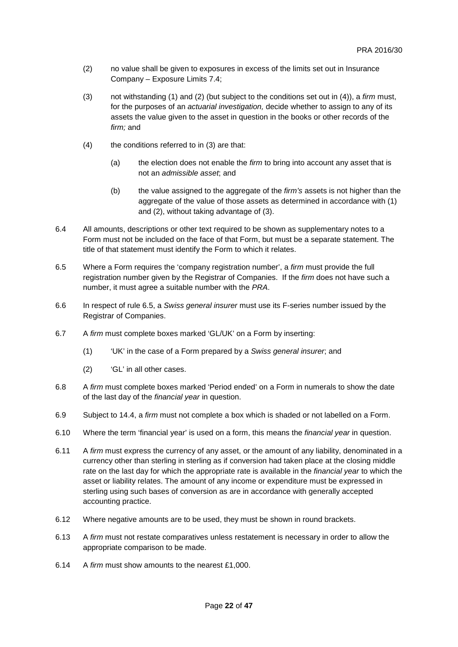- (2) no value shall be given to exposures in excess of the limits set out in Insurance Company – Exposure Limits 7.4;
- (3) not withstanding (1) and (2) (but subject to the conditions set out in (4)), a *firm* must, for the purposes of an *actuarial investigation,* decide whether to assign to any of its assets the value given to the asset in question in the books or other records of the *firm;* and
- (4) the conditions referred to in (3) are that:
	- (a) the election does not enable the *firm* to bring into account any asset that is not an *admissible asset*; and
	- (b) the value assigned to the aggregate of the *firm's* assets is not higher than the aggregate of the value of those assets as determined in accordance with (1) and (2), without taking advantage of (3).
- 6.4 All amounts, descriptions or other text required to be shown as supplementary notes to a Form must not be included on the face of that Form, but must be a separate statement. The title of that statement must identify the Form to which it relates.
- 6.5 Where a Form requires the 'company registration number', a *firm* must provide the full registration number given by the Registrar of Companies. If the *firm* does not have such a number, it must agree a suitable number with the *PRA*.
- 6.6 In respect of rule 6.5, a *Swiss general insurer* must use its F-series number issued by the Registrar of Companies.
- 6.7 A *firm* must complete boxes marked 'GL/UK' on a Form by inserting:
	- (1) 'UK' in the case of a Form prepared by a *Swiss general insurer*; and
	- (2) 'GL' in all other cases.
- 6.8 A *firm* must complete boxes marked 'Period ended' on a Form in numerals to show the date of the last day of the *financial year* in question.
- 6.9 Subject to 14.4, a *firm* must not complete a box which is shaded or not labelled on a Form.
- 6.10 Where the term 'financial year' is used on a form, this means the *financial year* in question.
- 6.11 A *firm* must express the currency of any asset, or the amount of any liability, denominated in a currency other than sterling in sterling as if conversion had taken place at the closing middle rate on the last day for which the appropriate rate is available in the *financial year* to which the asset or liability relates. The amount of any income or expenditure must be expressed in sterling using such bases of conversion as are in accordance with generally accepted accounting practice.
- 6.12 Where negative amounts are to be used, they must be shown in round brackets.
- 6.13 A *firm* must not restate comparatives unless restatement is necessary in order to allow the appropriate comparison to be made.
- 6.14 A *firm* must show amounts to the nearest £1,000.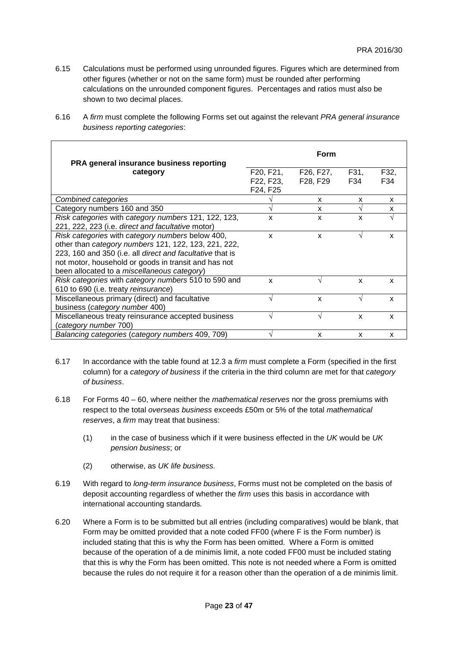6.15 Calculations must be performed using unrounded figures. Figures which are determined from other figures (whether or not on the same form) must be rounded after performing calculations on the unrounded component figures. Percentages and ratios must also be shown to two decimal places.

| PRA general insurance business reporting                  | Form                  |                                   |      |      |
|-----------------------------------------------------------|-----------------------|-----------------------------------|------|------|
| category                                                  | F20, F21,             | F26, F27,                         | F31, | F32, |
|                                                           | F22, F23,<br>F24, F25 | F <sub>28</sub> , F <sub>29</sub> | F34  | F34  |
| Combined categories                                       |                       | X                                 | X    | X    |
| Category numbers 160 and 350                              |                       | x                                 |      | X    |
| Risk categories with category numbers 121, 122, 123,      | x                     | X                                 | X    |      |
| 221, 222, 223 (i.e. direct and facultative motor)         |                       |                                   |      |      |
| Risk categories with category numbers below 400,          | X                     | X                                 |      | x    |
| other than category numbers 121, 122, 123, 221, 222,      |                       |                                   |      |      |
| 223, 160 and 350 (i.e. all direct and facultative that is |                       |                                   |      |      |
| not motor, household or goods in transit and has not      |                       |                                   |      |      |
| been allocated to a miscellaneous category)               |                       |                                   |      |      |
| Risk categories with category numbers 510 to 590 and      | X                     |                                   | X    | x    |
| 610 to 690 (i.e. treaty reinsurance)                      |                       |                                   |      |      |
| Miscellaneous primary (direct) and facultative            | V                     | X                                 |      | x    |
| business (category number 400)                            |                       |                                   |      |      |
| Miscellaneous treaty reinsurance accepted business        |                       | N                                 | X    | X    |
| (category number 700)                                     |                       |                                   |      |      |
| Balancing categories (category numbers 409, 709)          |                       | х                                 | X    | X    |

6.16 A *firm* must complete the following Forms set out against the relevant *PRA general insurance business reporting categories*:

- 6.17 In accordance with the table found at 12.3 a *firm* must complete a Form (specified in the first column) for a *category of business* if the criteria in the third column are met for that *category of business*.
- 6.18 For Forms 40 60, where neither the *mathematical reserves* nor the gross premiums with respect to the total *overseas business* exceeds £50m or 5% of the total *mathematical reserves*, a *firm* may treat that business:
	- (1) in the case of business which if it were business effected in the *UK* would be *UK pension business*; or
	- (2) otherwise, as *UK life business.*
- 6.19 With regard to *long-term insurance business*, Forms must not be completed on the basis of deposit accounting regardless of whether the *firm* uses this basis in accordance with international accounting standards*.*
- 6.20 Where a Form is to be submitted but all entries (including comparatives) would be blank, that Form may be omitted provided that a note coded FF00 (where F is the Form number) is included stating that this is why the Form has been omitted. Where a Form is omitted because of the operation of a de minimis limit, a note coded FF00 must be included stating that this is why the Form has been omitted. This note is not needed where a Form is omitted because the rules do not require it for a reason other than the operation of a de minimis limit.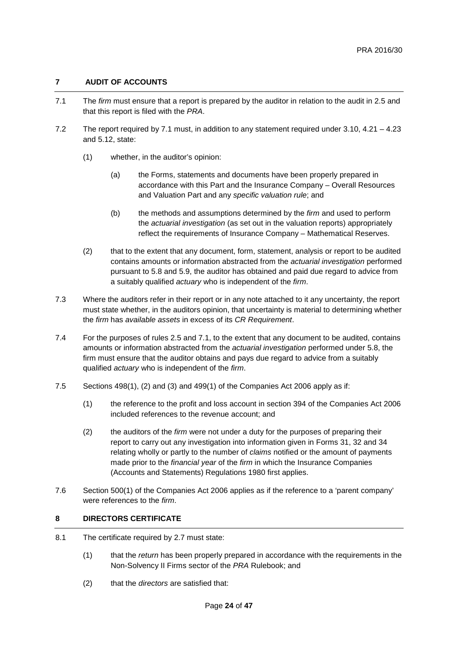# **7 AUDIT OF ACCOUNTS**

- 7.1 The *firm* must ensure that a report is prepared by the auditor in relation to the audit in 2.5 and that this report is filed with the *PRA*.
- 7.2 The report required by 7.1 must, in addition to any statement required under 3.10, 4.21 4.23 and 5.12, state:
	- (1) whether, in the auditor's opinion:
		- (a) the Forms, statements and documents have been properly prepared in accordance with this Part and the Insurance Company – Overall Resources and Valuation Part and any *specific valuation rule*; and
		- (b) the methods and assumptions determined by the *firm* and used to perform the *actuarial investigation* (as set out in the valuation reports) appropriately reflect the requirements of Insurance Company – Mathematical Reserves.
	- (2) that to the extent that any document, form, statement, analysis or report to be audited contains amounts or information abstracted from the *actuarial investigation* performed pursuant to 5.8 and 5.9, the auditor has obtained and paid due regard to advice from a suitably qualified *actuary* who is independent of the *firm*.
- 7.3 Where the auditors refer in their report or in any note attached to it any uncertainty, the report must state whether, in the auditors opinion, that uncertainty is material to determining whether the *firm* has *available assets* in excess of its *CR Requirement*.
- 7.4 For the purposes of rules 2.5 and 7.1, to the extent that any document to be audited, contains amounts or information abstracted from the *actuarial investigation* performed under 5.8, the firm must ensure that the auditor obtains and pays due regard to advice from a suitably qualified *actuary* who is independent of the *firm*.
- 7.5 Sections 498(1), (2) and (3) and 499(1) of the Companies Act 2006 apply as if:
	- (1) the reference to the profit and loss account in section 394 of the Companies Act 2006 included references to the revenue account; and
	- (2) the auditors of the *firm* were not under a duty for the purposes of preparing their report to carry out any investigation into information given in Forms 31, 32 and 34 relating wholly or partly to the number of *claims* notified or the amount of payments made prior to the *financial year* of the *firm* in which the Insurance Companies (Accounts and Statements) Regulations 1980 first applies.
- 7.6 Section 500(1) of the Companies Act 2006 applies as if the reference to a 'parent company' were references to the *firm*.

# **8 DIRECTORS CERTIFICATE**

- 8.1 The certificate required by 2.7 must state:
	- (1) that the *return* has been properly prepared in accordance with the requirements in the Non-Solvency II Firms sector of the *PRA* Rulebook; and
	- (2) that the *directors* are satisfied that: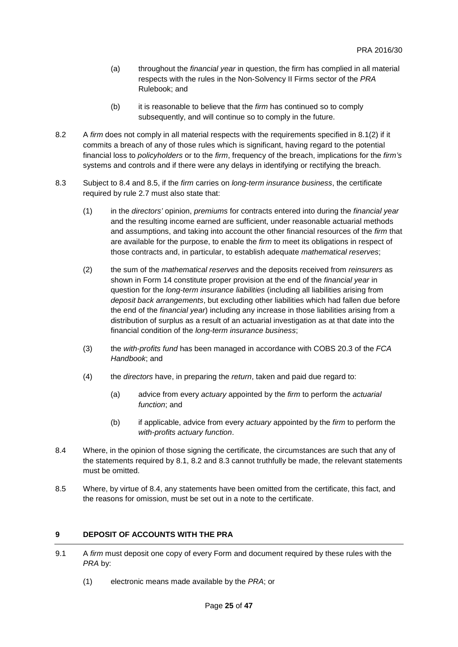- (a) throughout the *financial year* in question, the firm has complied in all material respects with the rules in the Non-Solvency II Firms sector of the *PRA*  Rulebook; and
- (b) it is reasonable to believe that the *firm* has continued so to comply subsequently, and will continue so to comply in the future.
- 8.2 A *firm* does not comply in all material respects with the requirements specified in 8.1(2) if it commits a breach of any of those rules which is significant, having regard to the potential financial loss to *policyholders* or to the *firm*, frequency of the breach, implications for the *firm's*  systems and controls and if there were any delays in identifying or rectifying the breach.
- 8.3 Subject to 8.4 and 8.5, if the *firm* carries on *long-term insurance business*, the certificate required by rule 2.7 must also state that:
	- (1) in the *directors'* opinion, *premiums* for contracts entered into during the *financial year* and the resulting income earned are sufficient, under reasonable actuarial methods and assumptions, and taking into account the other financial resources of the *firm* that are available for the purpose, to enable the *firm* to meet its obligations in respect of those contracts and, in particular, to establish adequate *mathematical reserves*;
	- (2) the sum of the *mathematical reserves* and the deposits received from *reinsurers* as shown in Form 14 constitute proper provision at the end of the *financial year* in question for the *long-term insurance liabilities* (including all liabilities arising from *deposit back arrangements*, but excluding other liabilities which had fallen due before the end of the *financial year*) including any increase in those liabilities arising from a distribution of surplus as a result of an actuarial investigation as at that date into the financial condition of the *long-term insurance business*;
	- (3) the *with-profits fund* has been managed in accordance with COBS 20.3 of the *FCA Handbook*; and
	- (4) the *directors* have, in preparing the *return*, taken and paid due regard to:
		- (a) advice from every *actuary* appointed by the *firm* to perform the *actuarial function*; and
		- (b) if applicable, advice from every *actuary* appointed by the *firm* to perform the *with-profits actuary function*.
- 8.4 Where, in the opinion of those signing the certificate, the circumstances are such that any of the statements required by 8.1, 8.2 and 8.3 cannot truthfully be made, the relevant statements must be omitted.
- 8.5 Where, by virtue of 8.4, any statements have been omitted from the certificate, this fact, and the reasons for omission, must be set out in a note to the certificate.

# **9 DEPOSIT OF ACCOUNTS WITH THE PRA**

- 9.1 A *firm* must deposit one copy of every Form and document required by these rules with the *PRA* by:
	- (1) electronic means made available by the *PRA*; or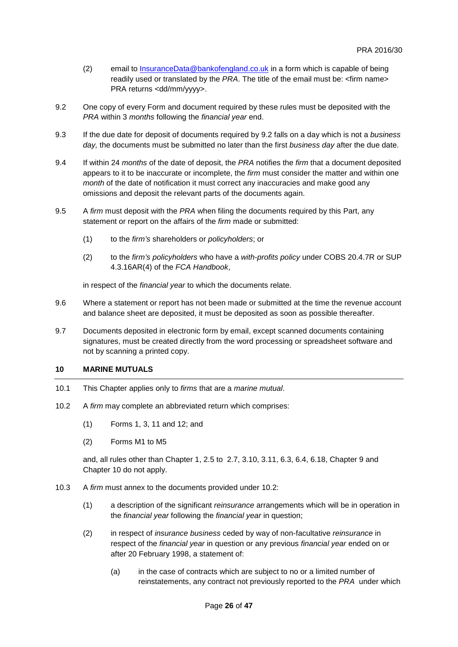- (2) email to [InsuranceData@bankofengland.co.uk](mailto:InsuranceData@bankofengland.co.uk) in a form which is capable of being readily used or translated by the *PRA*. The title of the email must be: <firm name> PRA returns <dd/mm/yyyy>.
- 9.2 One copy of every Form and document required by these rules must be deposited with the *PRA* within 3 *months* following the *financial year* end.
- 9.3 If the due date for deposit of documents required by 9.2 falls on a day which is not a *business day,* the documents must be submitted no later than the first *business day* after the due date.
- 9.4 If within 24 *months* of the date of deposit, the *PRA* notifies the *firm* that a document deposited appears to it to be inaccurate or incomplete, the *firm* must consider the matter and within one *month* of the date of notification it must correct any inaccuracies and make good any omissions and deposit the relevant parts of the documents again.
- 9.5 A *firm* must deposit with the *PRA* when filing the documents required by this Part, any statement or report on the affairs of the *firm* made or submitted:
	- (1) to the *firm's* shareholders or *policyholders*; or
	- (2) to the *firm's policyholders* who have a *with-profits policy* under COBS 20.4.7R or SUP 4.3.16AR(4) of the *FCA Handbook*,

in respect of the *financial year* to which the documents relate.

- 9.6 Where a statement or report has not been made or submitted at the time the revenue account and balance sheet are deposited, it must be deposited as soon as possible thereafter.
- 9.7 Documents deposited in electronic form by email, except scanned documents containing signatures, must be created directly from the word processing or spreadsheet software and not by scanning a printed copy.

# **10 MARINE MUTUALS**

- 10.1 This Chapter applies only to *firms* that are a *marine mutual*.
- 10.2 A *firm* may complete an abbreviated return which comprises:
	- (1) Forms 1, 3, 11 and 12; and
	- (2) Forms M1 to M5

and, all rules other than Chapter 1, 2.5 to 2.7, 3.10, 3.11, 6.3, 6.4, 6.18, Chapter 9 and Chapter 10 do not apply.

- 10.3 A *firm* must annex to the documents provided under 10.2:
	- (1) a description of the significant *reinsurance* arrangements which will be in operation in the *financial year* following the *financial year* in question;
	- (2) in respect of *insurance business* ceded by way of non-facultative *reinsurance* in respect of the *financial year* in question or any previous *financial year* ended on or after 20 February 1998, a statement of:
		- (a) in the case of contracts which are subject to no or a limited number of reinstatements, any contract not previously reported to the *PRA* under which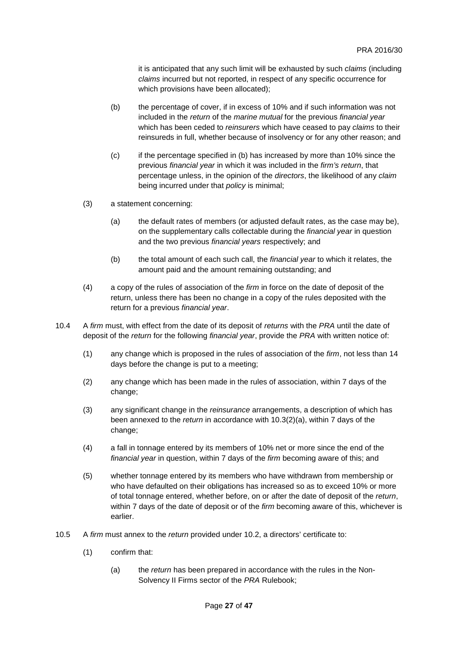it is anticipated that any such limit will be exhausted by such *claims* (including *claims* incurred but not reported, in respect of any specific occurrence for which provisions have been allocated);

- (b) the percentage of cover, if in excess of 10% and if such information was not included in the *return* of the *marine mutual* for the previous *financial year* which has been ceded to *reinsurers* which have ceased to pay *claims* to their reinsureds in full, whether because of insolvency or for any other reason; and
- (c) if the percentage specified in (b) has increased by more than 10% since the previous *financial year* in which it was included in the *firm's return*, that percentage unless, in the opinion of the *directors*, the likelihood of any *claim* being incurred under that *policy* is minimal;
- (3) a statement concerning:
	- (a) the default rates of members (or adjusted default rates, as the case may be), on the supplementary calls collectable during the *financial year* in question and the two previous *financial years* respectively; and
	- (b) the total amount of each such call, the *financial year* to which it relates, the amount paid and the amount remaining outstanding; and
- (4) a copy of the rules of association of the *firm* in force on the date of deposit of the return, unless there has been no change in a copy of the rules deposited with the return for a previous *financial year*.
- 10.4 A *firm* must, with effect from the date of its deposit of *returns* with the *PRA* until the date of deposit of the *return* for the following *financial year*, provide the *PRA* with written notice of:
	- (1) any change which is proposed in the rules of association of the *firm*, not less than 14 days before the change is put to a meeting;
	- (2) any change which has been made in the rules of association, within 7 days of the change;
	- (3) any significant change in the *reinsurance* arrangements, a description of which has been annexed to the *return* in accordance with 10.3(2)(a), within 7 days of the change;
	- (4) a fall in tonnage entered by its members of 10% net or more since the end of the *financial year* in question, within 7 days of the *firm* becoming aware of this; and
	- (5) whether tonnage entered by its members who have withdrawn from membership or who have defaulted on their obligations has increased so as to exceed 10% or more of total tonnage entered, whether before, on or after the date of deposit of the *return*, within 7 days of the date of deposit or of the *firm* becoming aware of this, whichever is earlier.
- 10.5 A *firm* must annex to the *return* provided under 10.2, a directors' certificate to:
	- (1) confirm that:
		- (a) the *return* has been prepared in accordance with the rules in the Non-Solvency II Firms sector of the *PRA* Rulebook;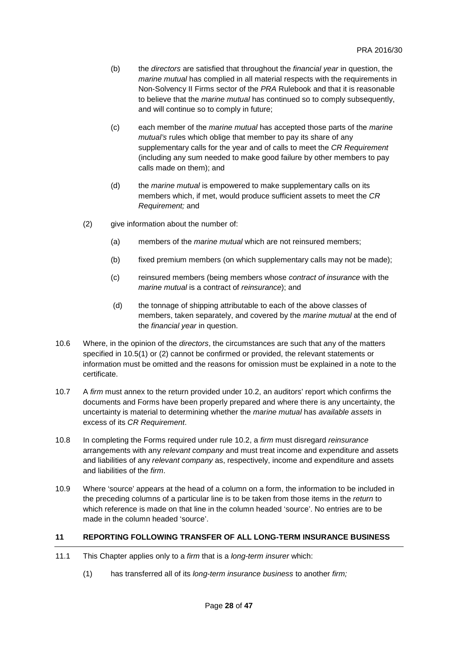- (b) the *directors* are satisfied that throughout the *financial year* in question, the *marine mutual* has complied in all material respects with the requirements in Non-Solvency II Firms sector of the *PRA* Rulebook and that it is reasonable to believe that the *marine mutual* has continued so to comply subsequently, and will continue so to comply in future;
- (c) each member of the *marine mutual* has accepted those parts of the *marine mutual's* rules which oblige that member to pay its share of any supplementary calls for the year and of calls to meet the *CR Requirement* (including any sum needed to make good failure by other members to pay calls made on them); and
- (d) the *marine mutual* is empowered to make supplementary calls on its members which, if met, would produce sufficient assets to meet the *CR Requirement;* and
- (2) give information about the number of:
	- (a) members of the *marine mutual* which are not reinsured members;
	- (b) fixed premium members (on which supplementary calls may not be made);
	- (c) reinsured members (being members whose *contract of insurance* with the *marine mutual* is a contract of *reinsurance*); and
	- (d) the tonnage of shipping attributable to each of the above classes of members, taken separately, and covered by the *marine mutual* at the end of the *financial year* in question.
- 10.6 Where, in the opinion of the *directors*, the circumstances are such that any of the matters specified in 10.5(1) or (2) cannot be confirmed or provided, the relevant statements or information must be omitted and the reasons for omission must be explained in a note to the certificate.
- 10.7 A *firm* must annex to the return provided under 10.2, an auditors' report which confirms the documents and Forms have been properly prepared and where there is any uncertainty, the uncertainty is material to determining whether the *marine mutual* has *available assets* in excess of its *CR Requirement*.
- 10.8 In completing the Forms required under rule 10.2, a *firm* must disregard *reinsurance* arrangements with any *relevant company* and must treat income and expenditure and assets and liabilities of any *relevant company* as, respectively, income and expenditure and assets and liabilities of the *firm*.
- 10.9 Where 'source' appears at the head of a column on a form, the information to be included in the preceding columns of a particular line is to be taken from those items in the *return* to which reference is made on that line in the column headed 'source'. No entries are to be made in the column headed 'source'.

# **11 REPORTING FOLLOWING TRANSFER OF ALL LONG-TERM INSURANCE BUSINESS**

- 11.1 This Chapter applies only to a *firm* that is a *long-term insurer* which:
	- (1) has transferred all of its *long-term insurance business* to another *firm;*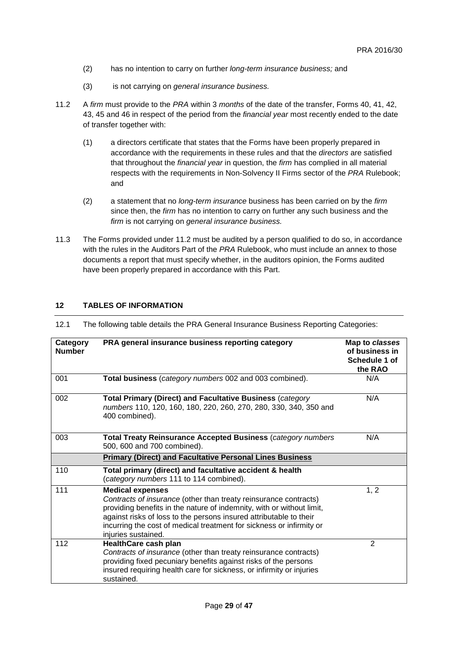- (2) has no intention to carry on further *long-term insurance business;* and
- (3) is not carrying on *general insurance business.*
- 11.2 A *firm* must provide to the *PRA* within 3 *months* of the date of the transfer, Forms 40, 41, 42, 43, 45 and 46 in respect of the period from the *financial year* most recently ended to the date of transfer together with:
	- (1) a directors certificate that states that the Forms have been properly prepared in accordance with the requirements in these rules and that the *directors* are satisfied that throughout the *financial year* in question, the *firm* has complied in all material respects with the requirements in Non-Solvency II Firms sector of the *PRA* Rulebook; and
	- (2) a statement that no *long-term insurance* business has been carried on by the *firm* since then, the *firm* has no intention to carry on further any such business and the *firm* is not carrying on *general insurance business.*
- 11.3 The Forms provided under 11.2 must be audited by a person qualified to do so, in accordance with the rules in the Auditors Part of the *PRA* Rulebook, who must include an annex to those documents a report that must specify whether, in the auditors opinion, the Forms audited have been properly prepared in accordance with this Part.

# **12 TABLES OF INFORMATION**

| Category<br><b>Number</b> | PRA general insurance business reporting category                                                                                                                                                                                                                                                                                         | Map to classes<br>of business in<br>Schedule 1 of<br>the RAO |
|---------------------------|-------------------------------------------------------------------------------------------------------------------------------------------------------------------------------------------------------------------------------------------------------------------------------------------------------------------------------------------|--------------------------------------------------------------|
| 001                       | Total business (category numbers 002 and 003 combined).                                                                                                                                                                                                                                                                                   | N/A                                                          |
| 002                       | <b>Total Primary (Direct) and Facultative Business (category</b><br>numbers 110, 120, 160, 180, 220, 260, 270, 280, 330, 340, 350 and<br>400 combined).                                                                                                                                                                                   | N/A                                                          |
| 003                       | <b>Total Treaty Reinsurance Accepted Business (category numbers</b><br>500, 600 and 700 combined).                                                                                                                                                                                                                                        | N/A                                                          |
|                           | <b>Primary (Direct) and Facultative Personal Lines Business</b>                                                                                                                                                                                                                                                                           |                                                              |
| 110                       | Total primary (direct) and facultative accident & health<br>(category numbers 111 to 114 combined).                                                                                                                                                                                                                                       |                                                              |
| 111                       | <b>Medical expenses</b><br>Contracts of insurance (other than treaty reinsurance contracts)<br>providing benefits in the nature of indemnity, with or without limit,<br>against risks of loss to the persons insured attributable to their<br>incurring the cost of medical treatment for sickness or infirmity or<br>injuries sustained. | 1, 2                                                         |
| 112                       | <b>HealthCare cash plan</b><br>Contracts of insurance (other than treaty reinsurance contracts)<br>providing fixed pecuniary benefits against risks of the persons<br>insured requiring health care for sickness, or infirmity or injuries<br>sustained.                                                                                  | $\overline{2}$                                               |

12.1 The following table details the PRA General Insurance Business Reporting Categories: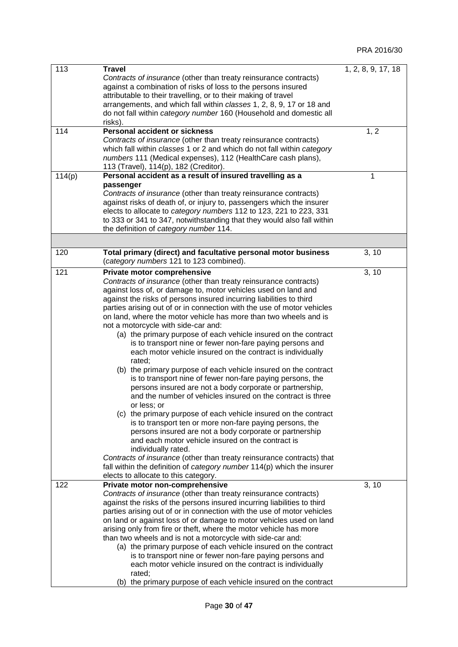| 113    | <b>Travel</b>                                                                                                    | 1, 2, 8, 9, 17, 18 |
|--------|------------------------------------------------------------------------------------------------------------------|--------------------|
|        | Contracts of insurance (other than treaty reinsurance contracts)                                                 |                    |
|        | against a combination of risks of loss to the persons insured                                                    |                    |
|        | attributable to their travelling, or to their making of travel                                                   |                    |
|        | arrangements, and which fall within classes 1, 2, 8, 9, 17 or 18 and                                             |                    |
|        | do not fall within category number 160 (Household and domestic all<br>risks).                                    |                    |
| 114    | <b>Personal accident or sickness</b>                                                                             | 1, 2               |
|        | Contracts of insurance (other than treaty reinsurance contracts)                                                 |                    |
|        | which fall within classes 1 or 2 and which do not fall within category                                           |                    |
|        | numbers 111 (Medical expenses), 112 (HealthCare cash plans),                                                     |                    |
|        | 113 (Travel), 114(p), 182 (Creditor).                                                                            |                    |
| 114(p) | Personal accident as a result of insured travelling as a                                                         | 1                  |
|        | passenger                                                                                                        |                    |
|        | Contracts of insurance (other than treaty reinsurance contracts)                                                 |                    |
|        | against risks of death of, or injury to, passengers which the insurer                                            |                    |
|        | elects to allocate to category numbers 112 to 123, 221 to 223, 331                                               |                    |
|        | to 333 or 341 to 347, notwithstanding that they would also fall within<br>the definition of category number 114. |                    |
|        |                                                                                                                  |                    |
|        |                                                                                                                  |                    |
| 120    | Total primary (direct) and facultative personal motor business<br>(category numbers 121 to 123 combined).        | 3, 10              |
| 121    | Private motor comprehensive                                                                                      | 3, 10              |
|        | Contracts of insurance (other than treaty reinsurance contracts)                                                 |                    |
|        | against loss of, or damage to, motor vehicles used on land and                                                   |                    |
|        | against the risks of persons insured incurring liabilities to third                                              |                    |
|        | parties arising out of or in connection with the use of motor vehicles                                           |                    |
|        | on land, where the motor vehicle has more than two wheels and is                                                 |                    |
|        | not a motorcycle with side-car and:                                                                              |                    |
|        | (a) the primary purpose of each vehicle insured on the contract                                                  |                    |
|        | is to transport nine or fewer non-fare paying persons and                                                        |                    |
|        | each motor vehicle insured on the contract is individually<br>rated;                                             |                    |
|        | (b) the primary purpose of each vehicle insured on the contract                                                  |                    |
|        | is to transport nine of fewer non-fare paying persons, the                                                       |                    |
|        | persons insured are not a body corporate or partnership,                                                         |                    |
|        | and the number of vehicles insured on the contract is three                                                      |                    |
|        | or less; or                                                                                                      |                    |
|        | (c) the primary purpose of each vehicle insured on the contract                                                  |                    |
|        | is to transport ten or more non-fare paying persons, the                                                         |                    |
|        | persons insured are not a body corporate or partnership                                                          |                    |
|        | and each motor vehicle insured on the contract is                                                                |                    |
|        | individually rated.                                                                                              |                    |
|        | Contracts of insurance (other than treaty reinsurance contracts) that                                            |                    |
|        | fall within the definition of category number 114(p) which the insurer                                           |                    |
| 122    | elects to allocate to this category.<br>Private motor non-comprehensive                                          | 3, 10              |
|        | Contracts of insurance (other than treaty reinsurance contracts)                                                 |                    |
|        | against the risks of the persons insured incurring liabilities to third                                          |                    |
|        | parties arising out of or in connection with the use of motor vehicles                                           |                    |
|        | on land or against loss of or damage to motor vehicles used on land                                              |                    |
|        | arising only from fire or theft, where the motor vehicle has more                                                |                    |
|        | than two wheels and is not a motorcycle with side-car and:                                                       |                    |
|        | (a) the primary purpose of each vehicle insured on the contract                                                  |                    |
|        | is to transport nine or fewer non-fare paying persons and                                                        |                    |
|        | each motor vehicle insured on the contract is individually                                                       |                    |
|        | rated;                                                                                                           |                    |
|        | (b) the primary purpose of each vehicle insured on the contract                                                  |                    |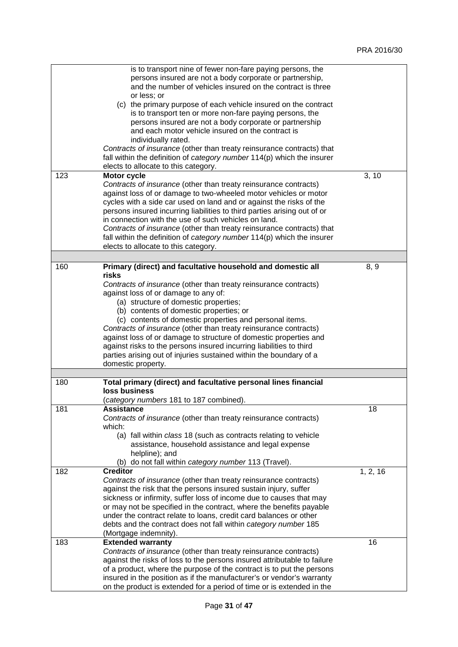|     | is to transport nine of fewer non-fare paying persons, the               |          |
|-----|--------------------------------------------------------------------------|----------|
|     | persons insured are not a body corporate or partnership,                 |          |
|     | and the number of vehicles insured on the contract is three              |          |
|     | or less; or                                                              |          |
|     |                                                                          |          |
|     | (c) the primary purpose of each vehicle insured on the contract          |          |
|     | is to transport ten or more non-fare paying persons, the                 |          |
|     | persons insured are not a body corporate or partnership                  |          |
|     | and each motor vehicle insured on the contract is                        |          |
|     | individually rated.                                                      |          |
|     | Contracts of insurance (other than treaty reinsurance contracts) that    |          |
|     | fall within the definition of category number 114(p) which the insurer   |          |
|     | elects to allocate to this category.                                     |          |
| 123 | <b>Motor cycle</b>                                                       | 3, 10    |
|     | Contracts of insurance (other than treaty reinsurance contracts)         |          |
|     | against loss of or damage to two-wheeled motor vehicles or motor         |          |
|     | cycles with a side car used on land and or against the risks of the      |          |
|     | persons insured incurring liabilities to third parties arising out of or |          |
|     | in connection with the use of such vehicles on land.                     |          |
|     | Contracts of insurance (other than treaty reinsurance contracts) that    |          |
|     | fall within the definition of category number 114(p) which the insurer   |          |
|     | elects to allocate to this category.                                     |          |
|     |                                                                          |          |
|     |                                                                          |          |
| 160 | Primary (direct) and facultative household and domestic all<br>risks     | 8, 9     |
|     |                                                                          |          |
|     | Contracts of insurance (other than treaty reinsurance contracts)         |          |
|     | against loss of or damage to any of:                                     |          |
|     | (a) structure of domestic properties;                                    |          |
|     | (b) contents of domestic properties; or                                  |          |
|     | (c) contents of domestic properties and personal items.                  |          |
|     | Contracts of insurance (other than treaty reinsurance contracts)         |          |
|     | against loss of or damage to structure of domestic properties and        |          |
|     | against risks to the persons insured incurring liabilities to third      |          |
|     | parties arising out of injuries sustained within the boundary of a       |          |
|     | domestic property.                                                       |          |
|     |                                                                          |          |
| 180 | Total primary (direct) and facultative personal lines financial          |          |
|     | loss business                                                            |          |
|     | (category numbers 181 to 187 combined).                                  |          |
| 181 | <b>Assistance</b>                                                        | 18       |
|     | Contracts of insurance (other than treaty reinsurance contracts)         |          |
|     | which:                                                                   |          |
|     | (a) fall within class 18 (such as contracts relating to vehicle          |          |
|     | assistance, household assistance and legal expense                       |          |
|     | helpline); and                                                           |          |
|     | (b) do not fall within category number 113 (Travel).                     |          |
| 182 | <b>Creditor</b>                                                          | 1, 2, 16 |
|     | Contracts of insurance (other than treaty reinsurance contracts)         |          |
|     | against the risk that the persons insured sustain injury, suffer         |          |
|     | sickness or infirmity, suffer loss of income due to causes that may      |          |
|     | or may not be specified in the contract, where the benefits payable      |          |
|     | under the contract relate to loans, credit card balances or other        |          |
|     | debts and the contract does not fall within category number 185          |          |
|     | (Mortgage indemnity).                                                    |          |
| 183 | <b>Extended warranty</b>                                                 | 16       |
|     | Contracts of insurance (other than treaty reinsurance contracts)         |          |
|     |                                                                          |          |
|     | against the risks of loss to the persons insured attributable to failure |          |
|     | of a product, where the purpose of the contract is to put the persons    |          |
|     | insured in the position as if the manufacturer's or vendor's warranty    |          |
|     | on the product is extended for a period of time or is extended in the    |          |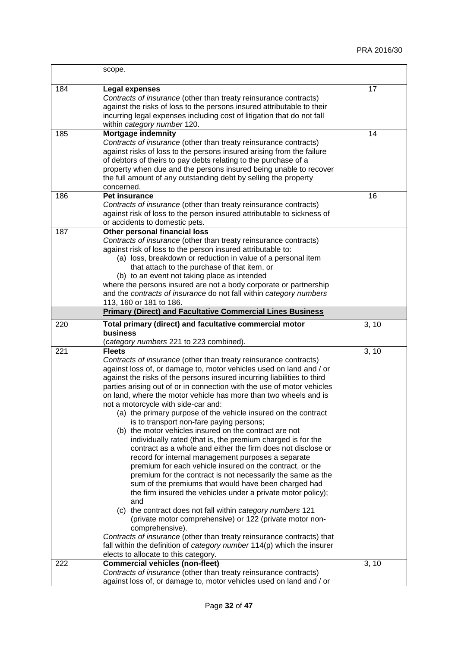$\overline{\phantom{0}}$ 

|     | scope.                                                                                                                                                                                                                                                                                                                                                                                                                                                                                                                                                                                                                                                                                                                                                                                                                                                                                                                                                                                                                                                                                                                                                                                                                                                                                                                                                                                  |       |
|-----|-----------------------------------------------------------------------------------------------------------------------------------------------------------------------------------------------------------------------------------------------------------------------------------------------------------------------------------------------------------------------------------------------------------------------------------------------------------------------------------------------------------------------------------------------------------------------------------------------------------------------------------------------------------------------------------------------------------------------------------------------------------------------------------------------------------------------------------------------------------------------------------------------------------------------------------------------------------------------------------------------------------------------------------------------------------------------------------------------------------------------------------------------------------------------------------------------------------------------------------------------------------------------------------------------------------------------------------------------------------------------------------------|-------|
| 184 | <b>Legal expenses</b><br>Contracts of insurance (other than treaty reinsurance contracts)<br>against the risks of loss to the persons insured attributable to their<br>incurring legal expenses including cost of litigation that do not fall<br>within category number 120.                                                                                                                                                                                                                                                                                                                                                                                                                                                                                                                                                                                                                                                                                                                                                                                                                                                                                                                                                                                                                                                                                                            | 17    |
| 185 | Mortgage indemnity<br>Contracts of insurance (other than treaty reinsurance contracts)<br>against risks of loss to the persons insured arising from the failure<br>of debtors of theirs to pay debts relating to the purchase of a<br>property when due and the persons insured being unable to recover<br>the full amount of any outstanding debt by selling the property<br>concerned.                                                                                                                                                                                                                                                                                                                                                                                                                                                                                                                                                                                                                                                                                                                                                                                                                                                                                                                                                                                                | 14    |
| 186 | <b>Pet insurance</b><br>Contracts of insurance (other than treaty reinsurance contracts)<br>against risk of loss to the person insured attributable to sickness of<br>or accidents to domestic pets.                                                                                                                                                                                                                                                                                                                                                                                                                                                                                                                                                                                                                                                                                                                                                                                                                                                                                                                                                                                                                                                                                                                                                                                    | 16    |
| 187 | Other personal financial loss<br>Contracts of insurance (other than treaty reinsurance contracts)<br>against risk of loss to the person insured attributable to:<br>(a) loss, breakdown or reduction in value of a personal item<br>that attach to the purchase of that item, or<br>(b) to an event not taking place as intended<br>where the persons insured are not a body corporate or partnership<br>and the contracts of insurance do not fall within category numbers<br>113, 160 or 181 to 186.                                                                                                                                                                                                                                                                                                                                                                                                                                                                                                                                                                                                                                                                                                                                                                                                                                                                                  |       |
|     | <b>Primary (Direct) and Facultative Commercial Lines Business</b>                                                                                                                                                                                                                                                                                                                                                                                                                                                                                                                                                                                                                                                                                                                                                                                                                                                                                                                                                                                                                                                                                                                                                                                                                                                                                                                       |       |
| 220 | Total primary (direct) and facultative commercial motor<br>business<br>(category numbers 221 to 223 combined).                                                                                                                                                                                                                                                                                                                                                                                                                                                                                                                                                                                                                                                                                                                                                                                                                                                                                                                                                                                                                                                                                                                                                                                                                                                                          | 3, 10 |
| 221 | <b>Fleets</b><br>Contracts of insurance (other than treaty reinsurance contracts)<br>against loss of, or damage to, motor vehicles used on land and / or<br>against the risks of the persons insured incurring liabilities to third<br>parties arising out of or in connection with the use of motor vehicles<br>on land, where the motor vehicle has more than two wheels and is<br>not a motorcycle with side-car and:<br>(a) the primary purpose of the vehicle insured on the contract<br>is to transport non-fare paying persons;<br>(b) the motor vehicles insured on the contract are not<br>individually rated (that is, the premium charged is for the<br>contract as a whole and either the firm does not disclose or<br>record for internal management purposes a separate<br>premium for each vehicle insured on the contract, or the<br>premium for the contract is not necessarily the same as the<br>sum of the premiums that would have been charged had<br>the firm insured the vehicles under a private motor policy);<br>and<br>(c) the contract does not fall within category numbers 121<br>(private motor comprehensive) or 122 (private motor non-<br>comprehensive).<br>Contracts of insurance (other than treaty reinsurance contracts) that<br>fall within the definition of category number 114(p) which the insurer<br>elects to allocate to this category. | 3, 10 |
| 222 | <b>Commercial vehicles (non-fleet)</b><br>Contracts of insurance (other than treaty reinsurance contracts)<br>against loss of, or damage to, motor vehicles used on land and / or                                                                                                                                                                                                                                                                                                                                                                                                                                                                                                                                                                                                                                                                                                                                                                                                                                                                                                                                                                                                                                                                                                                                                                                                       | 3, 10 |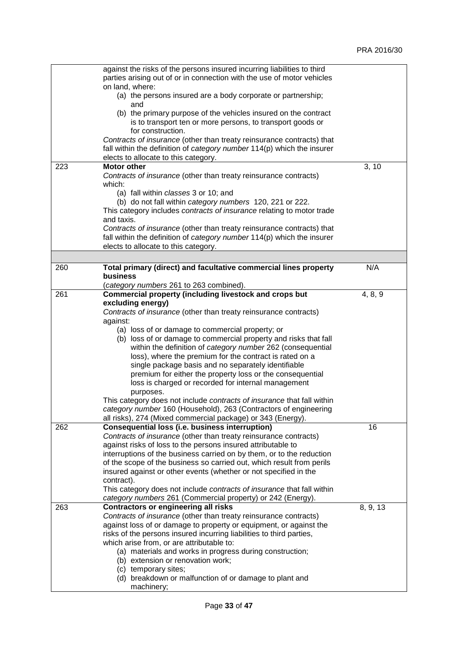|     | against the risks of the persons insured incurring liabilities to third<br>parties arising out of or in connection with the use of motor vehicles<br>on land, where:<br>(a) the persons insured are a body corporate or partnership;<br>and<br>(b) the primary purpose of the vehicles insured on the contract |          |
|-----|----------------------------------------------------------------------------------------------------------------------------------------------------------------------------------------------------------------------------------------------------------------------------------------------------------------|----------|
|     | is to transport ten or more persons, to transport goods or<br>for construction.<br>Contracts of insurance (other than treaty reinsurance contracts) that                                                                                                                                                       |          |
|     | fall within the definition of category number 114(p) which the insurer<br>elects to allocate to this category.                                                                                                                                                                                                 |          |
| 223 | <b>Motor other</b><br>Contracts of insurance (other than treaty reinsurance contracts)<br>which:                                                                                                                                                                                                               | 3, 10    |
|     | (a) fall within classes 3 or 10; and<br>(b) do not fall within category numbers 120, 221 or 222.                                                                                                                                                                                                               |          |
|     | This category includes contracts of insurance relating to motor trade<br>and taxis.                                                                                                                                                                                                                            |          |
|     | Contracts of insurance (other than treaty reinsurance contracts) that<br>fall within the definition of category number 114(p) which the insurer<br>elects to allocate to this category.                                                                                                                        |          |
|     |                                                                                                                                                                                                                                                                                                                |          |
| 260 | Total primary (direct) and facultative commercial lines property<br>business<br>(category numbers 261 to 263 combined).                                                                                                                                                                                        | N/A      |
| 261 | Commercial property (including livestock and crops but                                                                                                                                                                                                                                                         | 4, 8, 9  |
|     | excluding energy)<br>Contracts of insurance (other than treaty reinsurance contracts)                                                                                                                                                                                                                          |          |
|     | against:                                                                                                                                                                                                                                                                                                       |          |
|     | (a) loss of or damage to commercial property; or                                                                                                                                                                                                                                                               |          |
|     | (b) loss of or damage to commercial property and risks that fall<br>within the definition of category number 262 (consequential                                                                                                                                                                                |          |
|     | loss), where the premium for the contract is rated on a                                                                                                                                                                                                                                                        |          |
|     | single package basis and no separately identifiable                                                                                                                                                                                                                                                            |          |
|     | premium for either the property loss or the consequential                                                                                                                                                                                                                                                      |          |
|     | loss is charged or recorded for internal management                                                                                                                                                                                                                                                            |          |
|     | purposes.                                                                                                                                                                                                                                                                                                      |          |
|     | This category does not include contracts of insurance that fall within<br>category number 160 (Household), 263 (Contractors of engineering                                                                                                                                                                     |          |
|     | all risks), 274 (Mixed commercial package) or 343 (Energy).                                                                                                                                                                                                                                                    |          |
| 262 | Consequential loss (i.e. business interruption)                                                                                                                                                                                                                                                                | 16       |
|     | Contracts of insurance (other than treaty reinsurance contracts)                                                                                                                                                                                                                                               |          |
|     | against risks of loss to the persons insured attributable to                                                                                                                                                                                                                                                   |          |
|     | interruptions of the business carried on by them, or to the reduction<br>of the scope of the business so carried out, which result from perils                                                                                                                                                                 |          |
|     | insured against or other events (whether or not specified in the                                                                                                                                                                                                                                               |          |
|     | contract).                                                                                                                                                                                                                                                                                                     |          |
|     | This category does not include contracts of insurance that fall within                                                                                                                                                                                                                                         |          |
|     | category numbers 261 (Commercial property) or 242 (Energy).                                                                                                                                                                                                                                                    |          |
| 263 | <b>Contractors or engineering all risks</b><br>Contracts of insurance (other than treaty reinsurance contracts)                                                                                                                                                                                                | 8, 9, 13 |
|     | against loss of or damage to property or equipment, or against the                                                                                                                                                                                                                                             |          |
|     | risks of the persons insured incurring liabilities to third parties,                                                                                                                                                                                                                                           |          |
|     | which arise from, or are attributable to:                                                                                                                                                                                                                                                                      |          |
|     | (a) materials and works in progress during construction;                                                                                                                                                                                                                                                       |          |
|     | (b) extension or renovation work;                                                                                                                                                                                                                                                                              |          |
|     | (c) temporary sites;<br>(d) breakdown or malfunction of or damage to plant and                                                                                                                                                                                                                                 |          |
|     | machinery;                                                                                                                                                                                                                                                                                                     |          |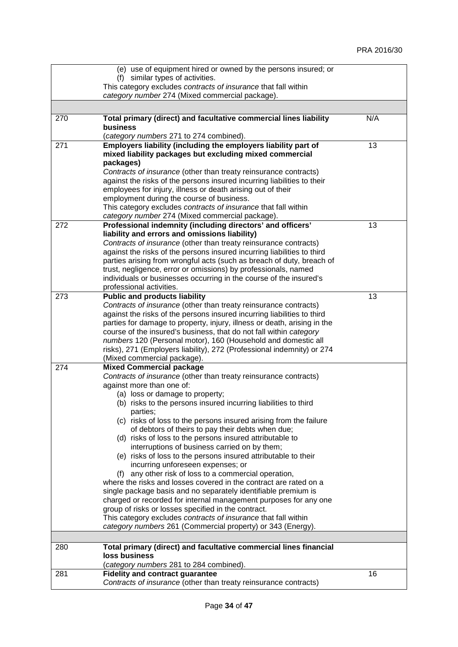|     | (e) use of equipment hired or owned by the persons insured; or                    |     |
|-----|-----------------------------------------------------------------------------------|-----|
|     | (f) similar types of activities.                                                  |     |
|     | This category excludes contracts of insurance that fall within                    |     |
|     | category number 274 (Mixed commercial package).                                   |     |
|     |                                                                                   |     |
| 270 | Total primary (direct) and facultative commercial lines liability                 | N/A |
|     | business                                                                          |     |
|     | (category numbers 271 to 274 combined).                                           |     |
| 271 | Employers liability (including the employers liability part of                    | 13  |
|     | mixed liability packages but excluding mixed commercial                           |     |
|     | packages)                                                                         |     |
|     | Contracts of insurance (other than treaty reinsurance contracts)                  |     |
|     | against the risks of the persons insured incurring liabilities to their           |     |
|     | employees for injury, illness or death arising out of their                       |     |
|     | employment during the course of business.                                         |     |
|     | This category excludes contracts of insurance that fall within                    |     |
|     | category number 274 (Mixed commercial package).                                   |     |
| 272 | Professional indemnity (including directors' and officers'                        | 13  |
|     | liability and errors and omissions liability)                                     |     |
|     | Contracts of insurance (other than treaty reinsurance contracts)                  |     |
|     | against the risks of the persons insured incurring liabilities to third           |     |
|     | parties arising from wrongful acts (such as breach of duty, breach of             |     |
|     | trust, negligence, error or omissions) by professionals, named                    |     |
|     | individuals or businesses occurring in the course of the insured's                |     |
|     | professional activities.                                                          |     |
| 273 | <b>Public and products liability</b>                                              | 13  |
|     | Contracts of insurance (other than treaty reinsurance contracts)                  |     |
|     | against the risks of the persons insured incurring liabilities to third           |     |
|     | parties for damage to property, injury, illness or death, arising in the          |     |
|     | course of the insured's business, that do not fall within category                |     |
|     | numbers 120 (Personal motor), 160 (Household and domestic all                     |     |
|     | risks), 271 (Employers liability), 272 (Professional indemnity) or 274            |     |
|     | (Mixed commercial package).                                                       |     |
| 274 | <b>Mixed Commercial package</b>                                                   |     |
|     | Contracts of insurance (other than treaty reinsurance contracts)                  |     |
|     | against more than one of:                                                         |     |
|     | (a) loss or damage to property;                                                   |     |
|     | (b) risks to the persons insured incurring liabilities to third                   |     |
|     | parties;                                                                          |     |
|     | (c) risks of loss to the persons insured arising from the failure                 |     |
|     | of debtors of theirs to pay their debts when due;                                 |     |
|     | (d) risks of loss to the persons insured attributable to                          |     |
|     | interruptions of business carried on by them;                                     |     |
|     | (e) risks of loss to the persons insured attributable to their                    |     |
|     | incurring unforeseen expenses; or                                                 |     |
|     | (f) any other risk of loss to a commercial operation,                             |     |
|     | where the risks and losses covered in the contract are rated on a                 |     |
|     | single package basis and no separately identifiable premium is                    |     |
|     | charged or recorded for internal management purposes for any one                  |     |
|     | group of risks or losses specified in the contract.                               |     |
|     | This category excludes contracts of insurance that fall within                    |     |
|     | category numbers 261 (Commercial property) or 343 (Energy).                       |     |
|     |                                                                                   |     |
| 280 | Total primary (direct) and facultative commercial lines financial                 |     |
|     | loss business                                                                     |     |
|     |                                                                                   |     |
| 281 | (category numbers 281 to 284 combined).<br><b>Fidelity and contract guarantee</b> | 16  |
|     | Contracts of insurance (other than treaty reinsurance contracts)                  |     |
|     |                                                                                   |     |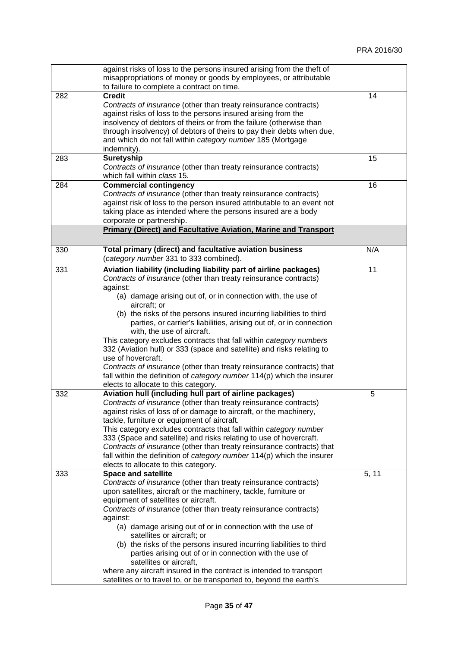|     | against risks of loss to the persons insured arising from the theft of  |       |
|-----|-------------------------------------------------------------------------|-------|
|     | misappropriations of money or goods by employees, or attributable       |       |
|     | to failure to complete a contract on time.                              |       |
| 282 | <b>Credit</b>                                                           | 14    |
|     | Contracts of insurance (other than treaty reinsurance contracts)        |       |
|     | against risks of loss to the persons insured arising from the           |       |
|     | insolvency of debtors of theirs or from the failure (otherwise than     |       |
|     | through insolvency) of debtors of theirs to pay their debts when due,   |       |
|     | and which do not fall within category number 185 (Mortgage              |       |
|     | indemnity).                                                             |       |
| 283 | <b>Suretyship</b>                                                       | 15    |
|     |                                                                         |       |
|     | Contracts of insurance (other than treaty reinsurance contracts)        |       |
|     | which fall within class 15.                                             |       |
| 284 | <b>Commercial contingency</b>                                           | 16    |
|     | Contracts of insurance (other than treaty reinsurance contracts)        |       |
|     | against risk of loss to the person insured attributable to an event not |       |
|     | taking place as intended where the persons insured are a body           |       |
|     | corporate or partnership.                                               |       |
|     | <b>Primary (Direct) and Facultative Aviation, Marine and Transport</b>  |       |
|     |                                                                         |       |
| 330 | Total primary (direct) and facultative aviation business                | N/A   |
|     | (category number 331 to 333 combined).                                  |       |
|     |                                                                         |       |
| 331 | Aviation liability (including liability part of airline packages)       | 11    |
|     | Contracts of insurance (other than treaty reinsurance contracts)        |       |
|     | against:                                                                |       |
|     | (a) damage arising out of, or in connection with, the use of            |       |
|     | aircraft; or                                                            |       |
|     | (b) the risks of the persons insured incurring liabilities to third     |       |
|     | parties, or carrier's liabilities, arising out of, or in connection     |       |
|     | with, the use of aircraft.                                              |       |
|     | This category excludes contracts that fall within category numbers      |       |
|     | 332 (Aviation hull) or 333 (space and satellite) and risks relating to  |       |
|     | use of hovercraft.                                                      |       |
|     | Contracts of insurance (other than treaty reinsurance contracts) that   |       |
|     | fall within the definition of category number 114(p) which the insurer  |       |
|     | elects to allocate to this category.                                    |       |
| 332 | Aviation hull (including hull part of airline packages)                 | 5     |
|     |                                                                         |       |
|     | Contracts of insurance (other than treaty reinsurance contracts)        |       |
|     | against risks of loss of or damage to aircraft, or the machinery,       |       |
|     | tackle, furniture or equipment of aircraft.                             |       |
|     | This category excludes contracts that fall within category number       |       |
|     | 333 (Space and satellite) and risks relating to use of hovercraft.      |       |
|     | Contracts of insurance (other than treaty reinsurance contracts) that   |       |
|     | fall within the definition of category number 114(p) which the insurer  |       |
|     | elects to allocate to this category.                                    |       |
| 333 | <b>Space and satellite</b>                                              | 5, 11 |
|     | Contracts of insurance (other than treaty reinsurance contracts)        |       |
|     | upon satellites, aircraft or the machinery, tackle, furniture or        |       |
|     | equipment of satellites or aircraft.                                    |       |
|     | Contracts of insurance (other than treaty reinsurance contracts)        |       |
|     | against:                                                                |       |
|     | (a) damage arising out of or in connection with the use of              |       |
|     | satellites or aircraft; or                                              |       |
|     | (b) the risks of the persons insured incurring liabilities to third     |       |
|     |                                                                         |       |
|     | parties arising out of or in connection with the use of                 |       |
|     | satellites or aircraft,                                                 |       |
|     | where any aircraft insured in the contract is intended to transport     |       |
|     | satellites or to travel to, or be transported to, beyond the earth's    |       |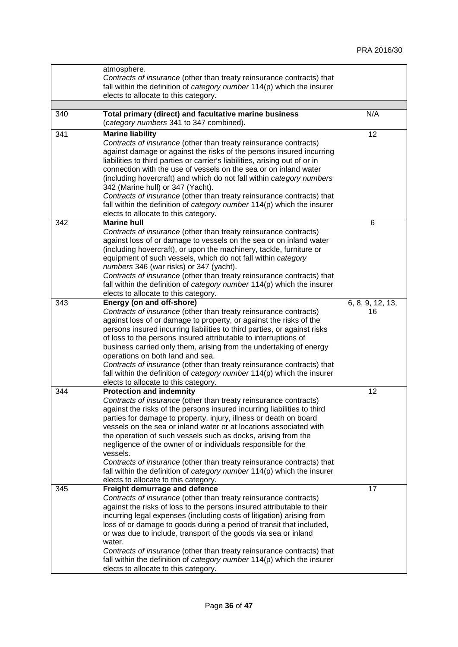|     | atmosphere.                                                                 |                  |
|-----|-----------------------------------------------------------------------------|------------------|
|     | Contracts of insurance (other than treaty reinsurance contracts) that       |                  |
|     | fall within the definition of category number 114(p) which the insurer      |                  |
|     | elects to allocate to this category.                                        |                  |
|     |                                                                             |                  |
| 340 | Total primary (direct) and facultative marine business                      | N/A              |
|     | (category numbers 341 to 347 combined).                                     |                  |
|     |                                                                             |                  |
| 341 | <b>Marine liability</b>                                                     | 12               |
|     | Contracts of insurance (other than treaty reinsurance contracts)            |                  |
|     | against damage or against the risks of the persons insured incurring        |                  |
|     | liabilities to third parties or carrier's liabilities, arising out of or in |                  |
|     | connection with the use of vessels on the sea or on inland water            |                  |
|     | (including hovercraft) and which do not fall within category numbers        |                  |
|     | 342 (Marine hull) or 347 (Yacht).                                           |                  |
|     | Contracts of insurance (other than treaty reinsurance contracts) that       |                  |
|     | fall within the definition of category number 114(p) which the insurer      |                  |
|     | elects to allocate to this category.                                        |                  |
| 342 | <b>Marine hull</b>                                                          | 6                |
|     | Contracts of insurance (other than treaty reinsurance contracts)            |                  |
|     | against loss of or damage to vessels on the sea or on inland water          |                  |
|     | (including hovercraft), or upon the machinery, tackle, furniture or         |                  |
|     | equipment of such vessels, which do not fall within category                |                  |
|     | numbers 346 (war risks) or 347 (yacht).                                     |                  |
|     | Contracts of insurance (other than treaty reinsurance contracts) that       |                  |
|     | fall within the definition of category number 114(p) which the insurer      |                  |
|     | elects to allocate to this category.                                        |                  |
| 343 | Energy (on and off-shore)                                                   | 6, 8, 9, 12, 13, |
|     | Contracts of insurance (other than treaty reinsurance contracts)            | 16               |
|     | against loss of or damage to property, or against the risks of the          |                  |
|     | persons insured incurring liabilities to third parties, or against risks    |                  |
|     | of loss to the persons insured attributable to interruptions of             |                  |
|     | business carried only them, arising from the undertaking of energy          |                  |
|     | operations on both land and sea.                                            |                  |
|     | Contracts of insurance (other than treaty reinsurance contracts) that       |                  |
|     | fall within the definition of category number 114(p) which the insurer      |                  |
|     | elects to allocate to this category.                                        |                  |
| 344 | <b>Protection and indemnity</b>                                             | 12               |
|     | Contracts of insurance (other than treaty reinsurance contracts)            |                  |
|     | against the risks of the persons insured incurring liabilities to third     |                  |
|     | parties for damage to property, injury, illness or death on board           |                  |
|     | vessels on the sea or inland water or at locations associated with          |                  |
|     | the operation of such vessels such as docks, arising from the               |                  |
|     | negligence of the owner of or individuals responsible for the               |                  |
|     | vessels.                                                                    |                  |
|     | Contracts of insurance (other than treaty reinsurance contracts) that       |                  |
|     | fall within the definition of category number 114(p) which the insurer      |                  |
|     | elects to allocate to this category.                                        |                  |
| 345 | Freight demurrage and defence                                               | 17               |
|     | Contracts of insurance (other than treaty reinsurance contracts)            |                  |
|     | against the risks of loss to the persons insured attributable to their      |                  |
|     | incurring legal expenses (including costs of litigation) arising from       |                  |
|     | loss of or damage to goods during a period of transit that included,        |                  |
|     | or was due to include, transport of the goods via sea or inland             |                  |
|     | water.                                                                      |                  |
|     | Contracts of insurance (other than treaty reinsurance contracts) that       |                  |
|     | fall within the definition of category number 114(p) which the insurer      |                  |
|     | elects to allocate to this category.                                        |                  |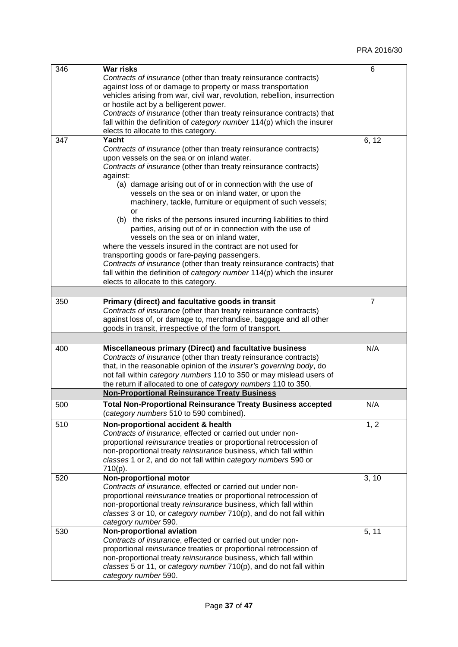| 346 | <b>War risks</b>                                                            | 6              |
|-----|-----------------------------------------------------------------------------|----------------|
|     | Contracts of insurance (other than treaty reinsurance contracts)            |                |
|     | against loss of or damage to property or mass transportation                |                |
|     | vehicles arising from war, civil war, revolution, rebellion, insurrection   |                |
|     | or hostile act by a belligerent power.                                      |                |
|     | Contracts of insurance (other than treaty reinsurance contracts) that       |                |
|     | fall within the definition of category number 114(p) which the insurer      |                |
|     |                                                                             |                |
|     | elects to allocate to this category.                                        |                |
| 347 | Yacht                                                                       | 6, 12          |
|     | Contracts of insurance (other than treaty reinsurance contracts)            |                |
|     | upon vessels on the sea or on inland water.                                 |                |
|     | Contracts of insurance (other than treaty reinsurance contracts)            |                |
|     | against:                                                                    |                |
|     | (a) damage arising out of or in connection with the use of                  |                |
|     | vessels on the sea or on inland water, or upon the                          |                |
|     | machinery, tackle, furniture or equipment of such vessels;                  |                |
|     | or                                                                          |                |
|     | (b) the risks of the persons insured incurring liabilities to third         |                |
|     | parties, arising out of or in connection with the use of                    |                |
|     | vessels on the sea or on inland water,                                      |                |
|     | where the vessels insured in the contract are not used for                  |                |
|     | transporting goods or fare-paying passengers.                               |                |
|     | Contracts of insurance (other than treaty reinsurance contracts) that       |                |
|     | fall within the definition of category number 114(p) which the insurer      |                |
|     | elects to allocate to this category.                                        |                |
|     |                                                                             |                |
| 350 | Primary (direct) and facultative goods in transit                           | $\overline{7}$ |
|     | Contracts of insurance (other than treaty reinsurance contracts)            |                |
|     | against loss of, or damage to, merchandise, baggage and all other           |                |
|     | goods in transit, irrespective of the form of transport.                    |                |
|     |                                                                             |                |
| 400 | Miscellaneous primary (Direct) and facultative business                     | N/A            |
|     | Contracts of insurance (other than treaty reinsurance contracts)            |                |
|     | that, in the reasonable opinion of the <i>insurer's governing body</i> , do |                |
|     | not fall within category numbers 110 to 350 or may mislead users of         |                |
|     | the return if allocated to one of category numbers 110 to 350.              |                |
|     | <b>Non-Proportional Reinsurance Treaty Business</b>                         |                |
| 500 | <b>Total Non-Proportional Reinsurance Treaty Business accepted</b>          | N/A            |
|     | (category numbers 510 to 590 combined).                                     |                |
| 510 | Non-proportional accident & health                                          | 1, 2           |
|     | Contracts of insurance, effected or carried out under non-                  |                |
|     | proportional reinsurance treaties or proportional retrocession of           |                |
|     | non-proportional treaty reinsurance business, which fall within             |                |
|     | classes 1 or 2, and do not fall within category numbers 590 or              |                |
|     | 710(p).                                                                     |                |
| 520 | Non-proportional motor                                                      | 3, 10          |
|     | Contracts of insurance, effected or carried out under non-                  |                |
|     | proportional reinsurance treaties or proportional retrocession of           |                |
|     | non-proportional treaty reinsurance business, which fall within             |                |
|     | classes 3 or 10, or category number 710(p), and do not fall within          |                |
|     | category number 590.                                                        |                |
| 530 | <b>Non-proportional aviation</b>                                            |                |
|     | Contracts of insurance, effected or carried out under non-                  | 5, 11          |
|     |                                                                             |                |
|     | proportional reinsurance treaties or proportional retrocession of           |                |
|     | non-proportional treaty reinsurance business, which fall within             |                |
|     | classes 5 or 11, or category number 710(p), and do not fall within          |                |
|     | category number 590.                                                        |                |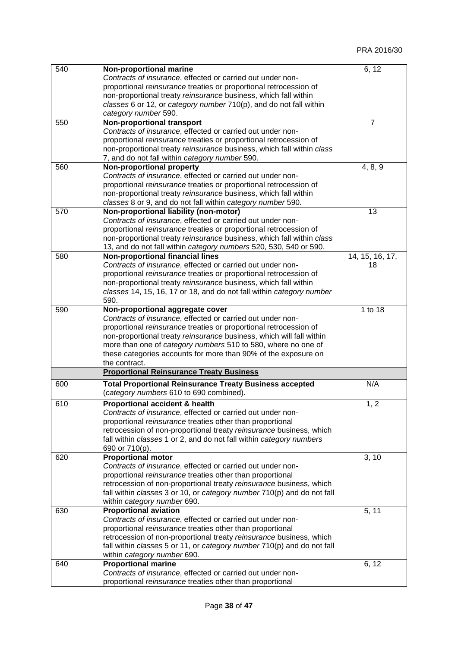| 540 | <b>Non-proportional marine</b><br>Contracts of insurance, effected or carried out under non-<br>proportional reinsurance treaties or proportional retrocession of<br>non-proportional treaty reinsurance business, which fall within<br>classes 6 or 12, or category number 710(p), and do not fall within                                                                                      | 6, 12                 |
|-----|-------------------------------------------------------------------------------------------------------------------------------------------------------------------------------------------------------------------------------------------------------------------------------------------------------------------------------------------------------------------------------------------------|-----------------------|
|     | category number 590.                                                                                                                                                                                                                                                                                                                                                                            |                       |
| 550 | <b>Non-proportional transport</b><br>Contracts of insurance, effected or carried out under non-<br>proportional reinsurance treaties or proportional retrocession of<br>non-proportional treaty reinsurance business, which fall within class<br>7, and do not fall within category number 590.                                                                                                 | $\overline{7}$        |
| 560 | <b>Non-proportional property</b><br>Contracts of insurance, effected or carried out under non-                                                                                                                                                                                                                                                                                                  | 4, 8, 9               |
|     | proportional reinsurance treaties or proportional retrocession of<br>non-proportional treaty reinsurance business, which fall within<br>classes 8 or 9, and do not fall within category number 590.                                                                                                                                                                                             |                       |
| 570 | Non-proportional liability (non-motor)<br>Contracts of insurance, effected or carried out under non-<br>proportional reinsurance treaties or proportional retrocession of<br>non-proportional treaty reinsurance business, which fall within class<br>13, and do not fall within category numbers 520, 530, 540 or 590.                                                                         | 13                    |
| 580 | <b>Non-proportional financial lines</b><br>Contracts of insurance, effected or carried out under non-<br>proportional reinsurance treaties or proportional retrocession of<br>non-proportional treaty reinsurance business, which fall within<br>classes 14, 15, 16, 17 or 18, and do not fall within category number<br>590.                                                                   | 14, 15, 16, 17,<br>18 |
| 590 | Non-proportional aggregate cover<br>Contracts of insurance, effected or carried out under non-<br>proportional reinsurance treaties or proportional retrocession of<br>non-proportional treaty reinsurance business, which will fall within<br>more than one of category numbers 510 to 580, where no one of<br>these categories accounts for more than 90% of the exposure on<br>the contract. | 1 to 18               |
|     | <b>Proportional Reinsurance Treaty Business</b>                                                                                                                                                                                                                                                                                                                                                 |                       |
| 600 | <b>Total Proportional Reinsurance Treaty Business accepted</b><br>(category numbers 610 to 690 combined).                                                                                                                                                                                                                                                                                       | N/A                   |
| 610 | <b>Proportional accident &amp; health</b><br>Contracts of insurance, effected or carried out under non-<br>proportional reinsurance treaties other than proportional<br>retrocession of non-proportional treaty reinsurance business, which<br>fall within classes 1 or 2, and do not fall within category numbers<br>690 or 710(p).                                                            | 1, 2                  |
| 620 | <b>Proportional motor</b><br>Contracts of insurance, effected or carried out under non-<br>proportional reinsurance treaties other than proportional<br>retrocession of non-proportional treaty reinsurance business, which<br>fall within classes 3 or 10, or category number 710(p) and do not fall<br>within category number 690.                                                            | 3, 10                 |
| 630 | <b>Proportional aviation</b><br>Contracts of insurance, effected or carried out under non-<br>proportional reinsurance treaties other than proportional<br>retrocession of non-proportional treaty reinsurance business, which<br>fall within classes 5 or 11, or category number 710(p) and do not fall<br>within category number 690.                                                         | 5, 11                 |
| 640 | <b>Proportional marine</b><br>Contracts of insurance, effected or carried out under non-<br>proportional reinsurance treaties other than proportional                                                                                                                                                                                                                                           | 6, 12                 |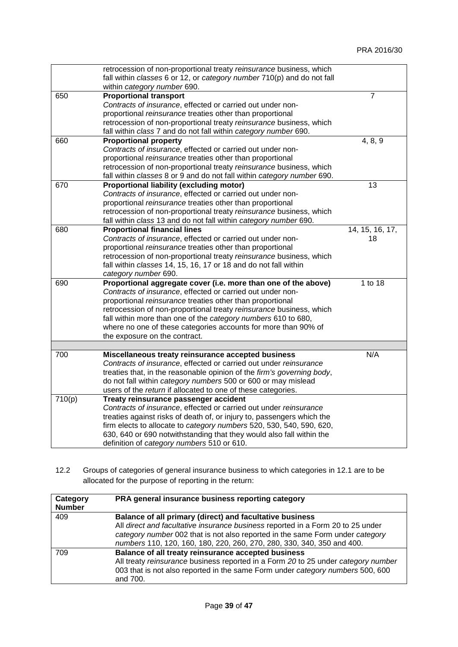|        | retrocession of non-proportional treaty reinsurance business, which    |                 |
|--------|------------------------------------------------------------------------|-----------------|
|        | fall within classes 6 or 12, or category number 710(p) and do not fall |                 |
|        | within category number 690.                                            |                 |
| 650    | <b>Proportional transport</b>                                          | $\overline{7}$  |
|        | Contracts of insurance, effected or carried out under non-             |                 |
|        | proportional reinsurance treaties other than proportional              |                 |
|        | retrocession of non-proportional treaty reinsurance business, which    |                 |
|        | fall within class 7 and do not fall within category number 690.        |                 |
| 660    | <b>Proportional property</b>                                           | 4, 8, 9         |
|        | Contracts of insurance, effected or carried out under non-             |                 |
|        | proportional reinsurance treaties other than proportional              |                 |
|        | retrocession of non-proportional treaty reinsurance business, which    |                 |
|        | fall within classes 8 or 9 and do not fall within category number 690. |                 |
| 670    | <b>Proportional liability (excluding motor)</b>                        | 13              |
|        | Contracts of insurance, effected or carried out under non-             |                 |
|        | proportional reinsurance treaties other than proportional              |                 |
|        | retrocession of non-proportional treaty reinsurance business, which    |                 |
|        | fall within class 13 and do not fall within category number 690.       |                 |
| 680    | <b>Proportional financial lines</b>                                    | 14, 15, 16, 17, |
|        | Contracts of insurance, effected or carried out under non-             | 18              |
|        | proportional reinsurance treaties other than proportional              |                 |
|        | retrocession of non-proportional treaty reinsurance business, which    |                 |
|        | fall within classes 14, 15, 16, 17 or 18 and do not fall within        |                 |
|        | category number 690.                                                   |                 |
| 690    | Proportional aggregate cover (i.e. more than one of the above)         | 1 to 18         |
|        | Contracts of insurance, effected or carried out under non-             |                 |
|        | proportional reinsurance treaties other than proportional              |                 |
|        | retrocession of non-proportional treaty reinsurance business, which    |                 |
|        | fall within more than one of the category numbers 610 to 680,          |                 |
|        | where no one of these categories accounts for more than 90% of         |                 |
|        | the exposure on the contract.                                          |                 |
|        |                                                                        |                 |
| 700    | Miscellaneous treaty reinsurance accepted business                     | N/A             |
|        | Contracts of insurance, effected or carried out under reinsurance      |                 |
|        | treaties that, in the reasonable opinion of the firm's governing body, |                 |
|        | do not fall within category numbers 500 or 600 or may mislead          |                 |
|        | users of the return if allocated to one of these categories.           |                 |
| 710(p) | Treaty reinsurance passenger accident                                  |                 |
|        | Contracts of insurance, effected or carried out under reinsurance      |                 |
|        | treaties against risks of death of, or injury to, passengers which the |                 |
|        | firm elects to allocate to category numbers 520, 530, 540, 590, 620,   |                 |
|        | 630, 640 or 690 notwithstanding that they would also fall within the   |                 |
|        | definition of category numbers 510 or 610.                             |                 |

12.2 Groups of categories of general insurance business to which categories in 12.1 are to be allocated for the purpose of reporting in the return:

| PRA general insurance business reporting category                                 |
|-----------------------------------------------------------------------------------|
| Balance of all primary (direct) and facultative business                          |
| All direct and facultative insurance business reported in a Form 20 to 25 under   |
| category number 002 that is not also reported in the same Form under category     |
| numbers 110, 120, 160, 180, 220, 260, 270, 280, 330, 340, 350 and 400.            |
| Balance of all treaty reinsurance accepted business                               |
| All treaty reinsurance business reported in a Form 20 to 25 under category number |
| 003 that is not also reported in the same Form under category numbers 500, 600    |
| and 700.                                                                          |
|                                                                                   |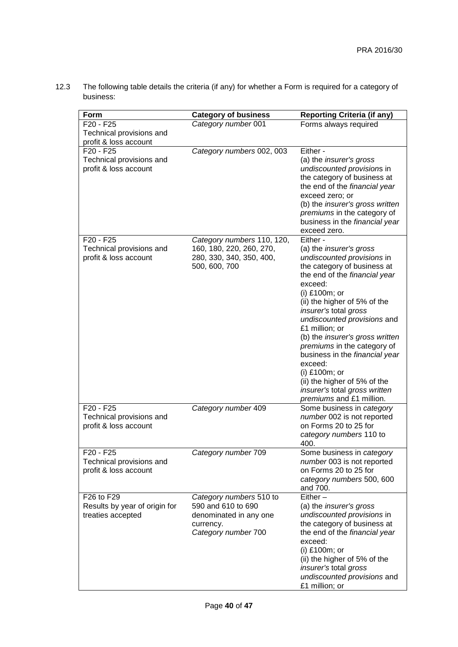| <b>Form</b>                                        | <b>Category of business</b>                   | <b>Reporting Criteria (if any)</b>                           |
|----------------------------------------------------|-----------------------------------------------|--------------------------------------------------------------|
| F20 - F25                                          | Category number 001                           | Forms always required                                        |
| Technical provisions and                           |                                               |                                                              |
| profit & loss account                              |                                               |                                                              |
| F20 - F25                                          | Category numbers 002, 003                     | Either -                                                     |
| Technical provisions and                           |                                               | (a) the <i>insurer's gross</i>                               |
| profit & loss account                              |                                               | undiscounted provisions in                                   |
|                                                    |                                               | the category of business at                                  |
|                                                    |                                               | the end of the financial year                                |
|                                                    |                                               | exceed zero; or                                              |
|                                                    |                                               | (b) the insurer's gross written                              |
|                                                    |                                               | premiums in the category of                                  |
|                                                    |                                               | business in the financial year                               |
|                                                    |                                               | exceed zero.                                                 |
| F20 - F25                                          | Category numbers 110, 120,                    | Either -                                                     |
| Technical provisions and                           | 160, 180, 220, 260, 270,                      | (a) the <i>insurer's gross</i>                               |
| profit & loss account                              | 280, 330, 340, 350, 400,                      | undiscounted provisions in                                   |
|                                                    | 500, 600, 700                                 | the category of business at<br>the end of the financial year |
|                                                    |                                               | exceed:                                                      |
|                                                    |                                               | (i) £100m; or                                                |
|                                                    |                                               | (ii) the higher of 5% of the                                 |
|                                                    |                                               | insurer's total gross                                        |
|                                                    |                                               | undiscounted provisions and                                  |
|                                                    |                                               | £1 million; or                                               |
|                                                    |                                               | (b) the insurer's gross written                              |
|                                                    |                                               | premiums in the category of                                  |
|                                                    |                                               | business in the financial year                               |
|                                                    |                                               | exceed:                                                      |
|                                                    |                                               | (i) £100m; or                                                |
|                                                    |                                               | (ii) the higher of 5% of the                                 |
|                                                    |                                               | insurer's total gross written                                |
|                                                    |                                               | premiums and £1 million.                                     |
| F20 - F25                                          | Category number 409                           | Some business in category                                    |
| Technical provisions and                           |                                               | number 002 is not reported                                   |
| profit & loss account                              |                                               | on Forms 20 to 25 for                                        |
|                                                    |                                               | category numbers 110 to                                      |
|                                                    |                                               | 400.                                                         |
| F20 - F25                                          | Category number 709                           | Some business in category                                    |
| Technical provisions and                           |                                               | number 003 is not reported                                   |
| profit & loss account                              |                                               | on Forms 20 to 25 for                                        |
|                                                    |                                               | category numbers 500, 600                                    |
| F26 to F29                                         |                                               | and 700.                                                     |
|                                                    | Category numbers 510 to<br>590 and 610 to 690 | $Either -$                                                   |
| Results by year of origin for<br>treaties accepted | denominated in any one                        | (a) the <i>insurer's gross</i><br>undiscounted provisions in |
|                                                    |                                               | the category of business at                                  |
|                                                    | currency.<br>Category number 700              | the end of the financial year                                |
|                                                    |                                               | exceed:                                                      |
|                                                    |                                               | (i) £100m; or                                                |
|                                                    |                                               | (ii) the higher of 5% of the                                 |
|                                                    |                                               | insurer's total gross                                        |
|                                                    |                                               | undiscounted provisions and                                  |
|                                                    |                                               | £1 million; or                                               |

12.3 The following table details the criteria (if any) for whether a Form is required for a category of business: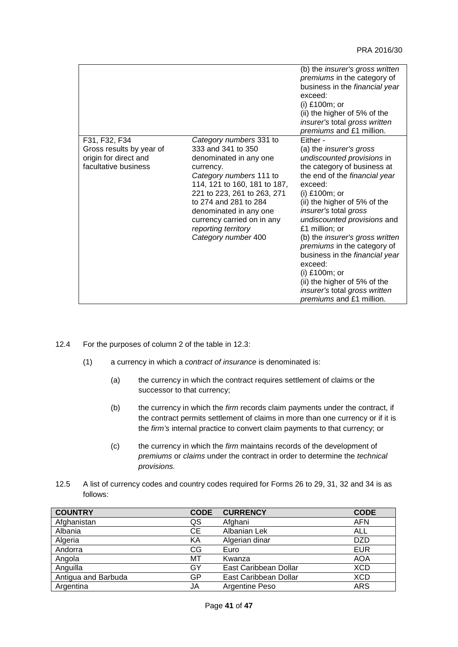|                                                                                            |                                                                                                                                                                                                                                                                                                               | (b) the <i>insurer's gross written</i><br>premiums in the category of<br>business in the financial year<br>exceed:<br>(i) £100m; or<br>(ii) the higher of 5% of the<br>insurer's total gross written<br>premiums and £1 million.                                                                                                                                                                                                                                                                                        |
|--------------------------------------------------------------------------------------------|---------------------------------------------------------------------------------------------------------------------------------------------------------------------------------------------------------------------------------------------------------------------------------------------------------------|-------------------------------------------------------------------------------------------------------------------------------------------------------------------------------------------------------------------------------------------------------------------------------------------------------------------------------------------------------------------------------------------------------------------------------------------------------------------------------------------------------------------------|
| F31, F32, F34<br>Gross results by year of<br>origin for direct and<br>facultative business | Category numbers 331 to<br>333 and 341 to 350<br>denominated in any one<br>currency.<br>Category numbers 111 to<br>114, 121 to 160, 181 to 187,<br>221 to 223, 261 to 263, 271<br>to 274 and 281 to 284<br>denominated in any one<br>currency carried on in any<br>reporting territory<br>Category number 400 | Either -<br>(a) the <i>insurer's gross</i><br>undiscounted provisions in<br>the category of business at<br>the end of the financial year<br>exceed:<br>$(i)$ £100 $m$ ; or<br>(ii) the higher of 5% of the<br>insurer's total gross<br>undiscounted provisions and<br>£1 million; or<br>(b) the insurer's gross written<br>premiums in the category of<br>business in the financial year<br>exceed:<br>$(i)$ £100 $m$ ; or<br>(ii) the higher of 5% of the<br>insurer's total gross written<br>premiums and £1 million. |

- 12.4 For the purposes of column 2 of the table in 12.3:
	- (1) a currency in which a *contract of insurance* is denominated is:
		- (a) the currency in which the contract requires settlement of claims or the successor to that currency;
		- (b) the currency in which the *firm* records claim payments under the contract, if the contract permits settlement of claims in more than one currency or if it is the *firm's* internal practice to convert claim payments to that currency; or
		- (c) the currency in which the *firm* maintains records of the development of *premiums* or *claims* under the contract in order to determine the *technical provisions.*
- 12.5 A list of currency codes and country codes required for Forms 26 to 29, 31, 32 and 34 is as follows:

| <b>COUNTRY</b>      | <b>CODE</b> | <b>CURRENCY</b>       | <b>CODE</b> |
|---------------------|-------------|-----------------------|-------------|
| Afghanistan         | QS          | Afghani               | <b>AFN</b>  |
| Albania             | CЕ          | Albanian Lek          | ALL         |
| Algeria             | ΚA          | Algerian dinar        | <b>DZD</b>  |
| Andorra             | CG          | Euro                  | <b>EUR</b>  |
| Angola              | МT          | Kwanza                | <b>AOA</b>  |
| Anguilla            | GY          | East Caribbean Dollar | <b>XCD</b>  |
| Antigua and Barbuda | GP          | East Caribbean Dollar | <b>XCD</b>  |
| Argentina           | JA          | Argentine Peso        | <b>ARS</b>  |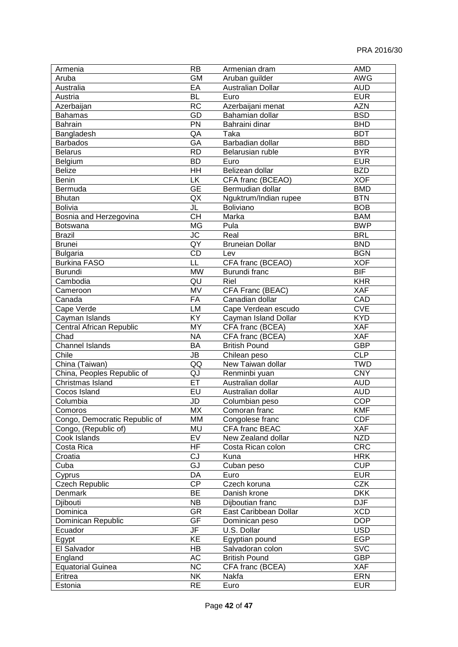| Armenia                       | <b>RB</b>                         | Armenian dram            | <b>AMD</b> |
|-------------------------------|-----------------------------------|--------------------------|------------|
| Aruba                         | $\overline{GM}$                   | Aruban guilder           | <b>AWG</b> |
| Australia                     | EA                                | <b>Australian Dollar</b> | <b>AUD</b> |
| Austria                       | <b>BL</b>                         | Euro                     | <b>EUR</b> |
| Azerbaijan                    | $\overline{RC}$                   | Azerbaijani menat        | <b>AZN</b> |
| <b>Bahamas</b>                | $\overline{GD}$                   | Bahamian dollar          | <b>BSD</b> |
| <b>Bahrain</b>                | $\overline{PN}$                   | Bahraini dinar           | <b>BHD</b> |
| Bangladesh                    | QA                                | Taka                     | <b>BDT</b> |
| <b>Barbados</b>               | $\overline{GA}$                   | Barbadian dollar         | <b>BBD</b> |
| <b>Belarus</b>                | $\overline{RD}$                   | Belarusian ruble         | <b>BYR</b> |
| Belgium                       | <b>BD</b>                         | Euro                     | <b>EUR</b> |
| <b>Belize</b>                 | <b>HH</b>                         | Belizean dollar          | <b>BZD</b> |
| Benin                         | LK                                | CFA franc (BCEAO)        | <b>XOF</b> |
| Bermuda                       | <b>GE</b>                         | Bermudian dollar         | <b>BMD</b> |
| <b>Bhutan</b>                 | QX                                | Nguktrum/Indian rupee    | <b>BTN</b> |
| <b>Bolivia</b>                | JL                                | Boliviano                | <b>BOB</b> |
| Bosnia and Herzegovina        | <b>CH</b>                         | Marka                    | <b>BAM</b> |
| Botswana                      | <b>MG</b>                         | Pula                     | <b>BWP</b> |
| <b>Brazil</b>                 | JC                                | Real                     | <b>BRL</b> |
| <b>Brunei</b>                 | $\overline{QY}$                   | <b>Bruneian Dollar</b>   | <b>BND</b> |
| <b>Bulgaria</b>               | $\overline{CD}$                   | Lev                      | <b>BGN</b> |
| <b>Burkina FASO</b>           | LL                                | CFA franc (BCEAO)        | <b>XOF</b> |
| <b>Burundi</b>                | <b>MW</b>                         | Burundi franc            | <b>BIF</b> |
| Cambodia                      | $\overline{\overline{\text{QU}}}$ | Riel                     | <b>KHR</b> |
|                               | $\overline{\text{MV}}$            |                          |            |
| Cameroon                      |                                   | CFA Franc (BEAC)         | XAF        |
| Canada                        | FA                                | Canadian dollar          | CAD        |
| Cape Verde                    | LM                                | Cape Verdean escudo      | <b>CVE</b> |
| Cayman Islands                | $\overline{KY}$                   | Cayman Island Dollar     | <b>KYD</b> |
| Central African Republic      | $\overline{MY}$                   | CFA franc (BCEA)         | XAF        |
| Chad                          | <b>NA</b>                         | CFA franc (BCEA)         | XAF        |
| <b>Channel Islands</b>        | BA                                | <b>British Pound</b>     | <b>GBP</b> |
| Chile                         | $\overline{\mathsf{J}\mathsf{B}}$ | Chilean peso             | <b>CLP</b> |
| China (Taiwan)                | QQ                                | New Taiwan dollar        | <b>TWD</b> |
| China, Peoples Republic of    | QJ                                | Renminbi yuan            | <b>CNY</b> |
| Christmas Island              | ET                                | Australian dollar        | <b>AUD</b> |
| Cocos Island                  | $E$ U                             | Australian dollar        | <b>AUD</b> |
| Columbia                      | JD                                | Columbian peso           | <b>COP</b> |
| Comoros                       | MX.                               | Comoran franc            | <b>KMF</b> |
| Congo, Democratic Republic of | MM                                | Congolese franc          | <b>CDF</b> |
| Congo, (Republic of)          | MU                                | CFA franc BEAC           | XAF        |
| Cook Islands                  | EV                                | New Zealand dollar       | <b>NZD</b> |
| Costa Rica                    | <b>HF</b>                         | Costa Rican colon        | <b>CRC</b> |
| Croatia                       | CJ                                | Kuna                     | <b>HRK</b> |
| Cuba                          | GJ                                | Cuban peso               | <b>CUP</b> |
| Cyprus                        | DA                                | Euro                     | <b>EUR</b> |
| <b>Czech Republic</b>         | $\overline{CP}$                   | Czech koruna             | <b>CZK</b> |
| Denmark                       | <b>BE</b>                         | Danish krone             | <b>DKK</b> |
| Djibouti                      | NB                                | Dijboutian franc         | <b>DJF</b> |
| Dominica                      | GR                                | East Caribbean Dollar    | <b>XCD</b> |
| Dominican Republic            | GF                                | Dominican peso           | <b>DOP</b> |
| Ecuador                       | JF                                | U.S. Dollar              | <b>USD</b> |
| Egypt                         | KE                                | Egyptian pound           | <b>EGP</b> |
| El Salvador                   | HB                                | Salvadoran colon         | <b>SVC</b> |
| England                       | AC                                | <b>British Pound</b>     | <b>GBP</b> |
| <b>Equatorial Guinea</b>      | <b>NC</b>                         | CFA franc (BCEA)         | XAF        |
| Eritrea                       | <b>NK</b>                         | Nakfa                    | <b>ERN</b> |
| Estonia                       | <b>RE</b>                         | Euro                     | <b>EUR</b> |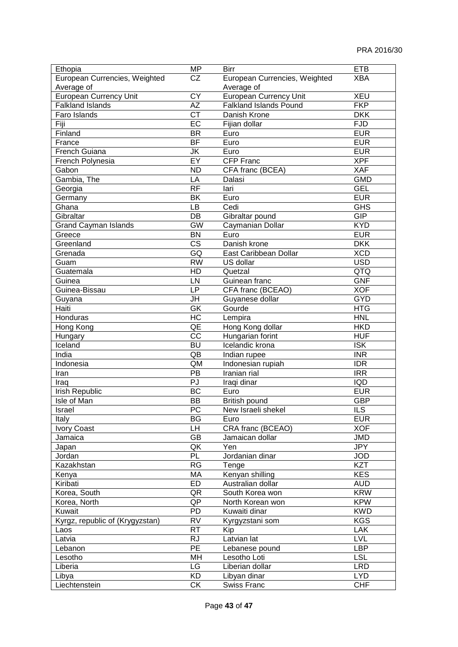| MP<br>Birr<br><b>ETB</b><br>Ethopia<br>CZ<br>European Currencies, Weighted<br><b>XBA</b><br>European Currencies, Weighted |  |
|---------------------------------------------------------------------------------------------------------------------------|--|
|                                                                                                                           |  |
| Average of<br>Average of                                                                                                  |  |
| <b>European Currency Unit</b><br><b>CY</b><br>European Currency Unit<br><b>XEU</b>                                        |  |
| <b>Falkland Islands</b><br><b>Falkland Islands Pound</b><br><b>FKP</b><br>AΖ                                              |  |
| <b>CT</b><br>Faro Islands<br>Danish Krone<br><b>DKK</b>                                                                   |  |
| EC<br><b>FJD</b><br>Fiji<br>Fijian dollar                                                                                 |  |
| Finland<br><b>EUR</b><br><b>BR</b><br>Euro                                                                                |  |
| <b>BF</b><br><b>EUR</b><br>France<br>Euro                                                                                 |  |
| <b>EUR</b><br>French Guiana<br>JK<br>Euro                                                                                 |  |
| EY<br><b>XPF</b><br><b>CFP Franc</b><br>French Polynesia                                                                  |  |
| <b>ND</b><br><b>XAF</b><br>Gabon<br>CFA franc (BCEA)                                                                      |  |
| <b>GMD</b><br>Gambia, The<br>Dalasi<br>LA                                                                                 |  |
| <b>RF</b><br><b>GEL</b><br>Georgia<br>lari                                                                                |  |
| Germany<br>Euro<br><b>EUR</b><br>BK                                                                                       |  |
| Ghana<br><b>GHS</b><br>LB<br>Cedi                                                                                         |  |
| Gibraltar<br><b>GIP</b><br>DB<br>Gibraltar pound                                                                          |  |
| <b>GW</b><br><b>KYD</b><br><b>Grand Cayman Islands</b><br>Caymanian Dollar                                                |  |
| Greece<br><b>BN</b><br>Euro<br><b>EUR</b>                                                                                 |  |
| <b>CS</b><br>Danish krone<br><b>DKK</b><br>Greenland                                                                      |  |
| <b>XCD</b><br>Grenada<br>GQ<br>East Caribbean Dollar                                                                      |  |
| <b>USD</b><br>Guam<br><b>RW</b><br>US dollar                                                                              |  |
| Guatemala<br>QTQ<br>HD<br>Quetzal                                                                                         |  |
| <b>GNF</b><br>Guinea<br>Guinean franc<br>LN                                                                               |  |
| <b>XOF</b><br>Guinea-Bissau<br>LP<br>CFA franc (BCEAO)                                                                    |  |
| <b>GYD</b><br>JH<br>Guyanese dollar<br>Guyana                                                                             |  |
| Haiti<br><b>GK</b><br><b>HTG</b><br>Gourde                                                                                |  |
| <b>HC</b><br>Honduras<br><b>HNL</b><br>Lempira                                                                            |  |
| QE<br>Hong Kong dollar<br><b>HKD</b><br>Hong Kong                                                                         |  |
| <b>CC</b><br>Hungarian forint<br><b>HUF</b><br>Hungary                                                                    |  |
| <b>BU</b><br>Icelandic krona<br><b>ISK</b><br>Iceland                                                                     |  |
| QB<br>India<br><b>INR</b><br>Indian rupee                                                                                 |  |
| Indonesia<br>QM<br>Indonesian rupiah<br><b>IDR</b>                                                                        |  |
| Iranian rial<br>PB<br><b>IRR</b><br>Iran                                                                                  |  |
| PJ<br><b>IQD</b><br>Iraqi dinar<br>Iraq                                                                                   |  |
| <b>Irish Republic</b><br>BC<br>Euro<br><b>EUR</b>                                                                         |  |
| Isle of Man<br><b>BB</b><br><b>GBP</b><br>British pound                                                                   |  |
| Israel<br>PС<br>New Israeli shekel<br>ILS                                                                                 |  |
| BG<br><b>EUR</b><br>Italy<br>Euro                                                                                         |  |
| <b>XOF</b><br>LH.<br>CRA franc (BCEAO)<br><b>Ivory Coast</b>                                                              |  |
| <b>GB</b><br>Jamaica<br>Jamaican dollar<br><b>JMD</b>                                                                     |  |
| QK<br><b>JPY</b><br>Yen<br>Japan                                                                                          |  |
| Jordanian dinar<br>PL<br>Jordan<br><b>JOD</b>                                                                             |  |
| Kazakhstan<br><b>RG</b><br>Tenge<br><b>KZT</b>                                                                            |  |
| Kenyan shilling<br><b>KES</b><br>МA<br>Kenya                                                                              |  |
| Kiribati<br>ED<br>Australian dollar<br><b>AUD</b>                                                                         |  |
| QR<br><b>KRW</b><br>Korea, South<br>South Korea won                                                                       |  |
| QP<br><b>KPW</b><br>Korea, North<br>North Korean won                                                                      |  |
| Kuwait<br>PD<br>Kuwaiti dinar<br><b>KWD</b>                                                                               |  |
| <b>RV</b><br>Kyrgz, republic of (Krygyzstan)<br>Kyrgyzstani som<br><b>KGS</b>                                             |  |
| <b>RT</b><br>Kip<br><b>LAK</b><br>Laos                                                                                    |  |
| Latvian lat<br><b>LVL</b><br>RJ<br>Latvia                                                                                 |  |
| PE<br><b>LBP</b><br>Lebanon<br>Lebanese pound                                                                             |  |
| Lesotho<br>MH<br><b>LSL</b><br>Lesotho Loti                                                                               |  |
| LG<br>Liberia<br>Liberian dollar<br><b>LRD</b>                                                                            |  |
| KD<br>Libyan dinar<br><b>LYD</b><br>Libya                                                                                 |  |
| Liechtenstein<br>СK<br><b>CHF</b><br>Swiss Franc                                                                          |  |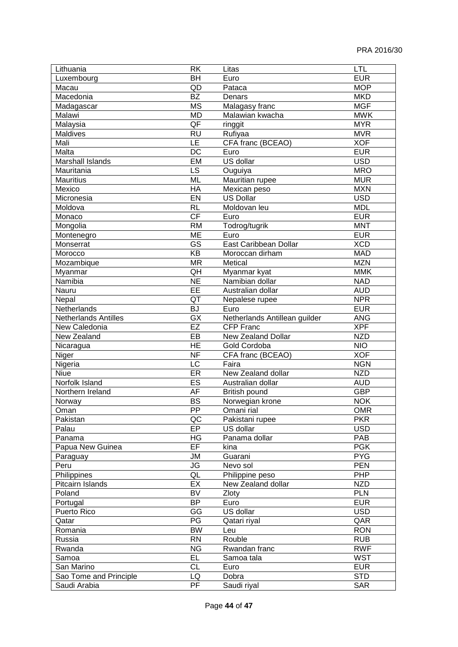| Lithuania                   | <b>RK</b>                | Litas                         | LTL              |
|-----------------------------|--------------------------|-------------------------------|------------------|
| Luxembourg                  | <b>BH</b>                | Euro                          | <b>EUR</b>       |
| Macau                       | QD                       | Pataca                        | <b>MOP</b>       |
| Macedonia                   | <b>BZ</b>                | Denars                        | <b>MKD</b>       |
| Madagascar                  | <b>MS</b>                | Malagasy franc                | <b>MGF</b>       |
| Malawi                      | <b>MD</b>                | Malawian kwacha               | <b>MWK</b>       |
| Malaysia                    | $\overline{\mathsf{QF}}$ | ringgit                       | <b>MYR</b>       |
| Maldives                    | <b>RU</b>                | Rufiyaa                       | <b>MVR</b>       |
| Mali                        | $\overline{\mathsf{LE}}$ | CFA franc (BCEAO)             | <b>XOF</b>       |
| Malta                       | DC                       | Euro                          | <b>EUR</b>       |
| <b>Marshall Islands</b>     | EM                       | US dollar                     | <b>USD</b>       |
| Mauritania                  | LS                       | Ouguiya                       | <b>MRO</b>       |
| <b>Mauritius</b>            | ML                       | Mauritian rupee               | <b>MUR</b>       |
| Mexico                      | HA                       | Mexican peso                  | <b>MXN</b>       |
| Micronesia                  | EN                       | <b>US Dollar</b>              | <b>USD</b>       |
| Moldova                     | <b>RL</b>                | Moldovan leu                  | <b>MDL</b>       |
| Monaco                      | <b>CF</b>                | Euro                          | <b>EUR</b>       |
| Mongolia                    | <b>RM</b>                | Todrog/tugrik                 | <b>MNT</b>       |
| Montenegro                  | <b>ME</b>                | Euro                          | <b>EUR</b>       |
| Monserrat                   | GS                       | East Caribbean Dollar         | <b>XCD</b>       |
| Morocco                     | $\overline{KB}$          | Moroccan dirham               | <b>MAD</b>       |
| Mozambique                  | <b>MR</b>                | Metical                       | <b>MZN</b>       |
| Myanmar                     | QH                       | Myanmar kyat                  | <b>MMK</b>       |
| Namibia                     | <b>NE</b>                | Namibian dollar               | <b>NAD</b>       |
| Nauru                       | EE                       | Australian dollar             | <b>AUD</b>       |
| Nepal                       | QT                       | Nepalese rupee                | <b>NPR</b>       |
| Netherlands                 | <b>BJ</b>                | Euro                          | <b>EUR</b>       |
| <b>Netherlands Antilles</b> | $\overline{GX}$          | Netherlands Antillean guilder | <b>ANG</b>       |
| New Caledonia               | <b>EZ</b>                | <b>CFP Franc</b>              | <b>XPF</b>       |
| New Zealand                 | EB                       | New Zealand Dollar            | <b>NZD</b>       |
| Nicaragua                   | $\overline{HE}$          | Gold Cordoba                  | $\overline{NIO}$ |
| Niger                       | $\overline{\mathsf{NF}}$ | CFA franc (BCEAO)             | <b>XOF</b>       |
| Nigeria                     | LC                       | Faira                         | <b>NGN</b>       |
| <b>Niue</b>                 | ER                       | New Zealand dollar            | <b>NZD</b>       |
| Norfolk Island              | ES                       | Australian dollar             | <b>AUD</b>       |
| Northern Ireland            | $\overline{AF}$          | British pound                 | <b>GBP</b>       |
|                             | <b>BS</b>                | Norwegian krone               | <b>NOK</b>       |
| Norway                      |                          |                               |                  |
| Oman                        | PP.                      | Omani rial                    | <b>OMR</b>       |
| Pakistan                    | QC                       | Pakistani rupee               | <b>PKR</b>       |
| Palau                       | EP<br>HG                 | US dollar                     | <b>USD</b>       |
| Panama                      |                          | Panama dollar                 | PAB              |
| Papua New Guinea            | EF                       | kina                          | <b>PGK</b>       |
| Paraguay                    | JM                       | Guarani                       | <b>PYG</b>       |
| Peru                        | JG                       | Nevo sol                      | <b>PEN</b>       |
| Philippines                 | QL                       | Philippine peso               | <b>PHP</b>       |
| Pitcairn Islands            | EX                       | New Zealand dollar            | <b>NZD</b>       |
| Poland                      | BV                       | Zloty                         | <b>PLN</b>       |
| Portugal                    | <b>BP</b>                | Euro                          | <b>EUR</b>       |
| Puerto Rico                 | GG                       | US dollar                     | <b>USD</b>       |
| Qatar                       | PG                       | Qatari riyal                  | QAR              |
| Romania                     | <b>BW</b>                | Leu                           | <b>RON</b>       |
| Russia                      | <b>RN</b>                | Rouble                        | <b>RUB</b>       |
| Rwanda                      | <b>NG</b>                | Rwandan franc                 | <b>RWF</b>       |
| Samoa                       | EL                       | Samoa tala                    | <b>WST</b>       |
| San Marino                  | <b>CL</b>                | Euro                          | <b>EUR</b>       |
| Sao Tome and Principle      | LQ                       | Dobra                         | <b>STD</b>       |
| Saudi Arabia                | PF                       | Saudi riyal                   | <b>SAR</b>       |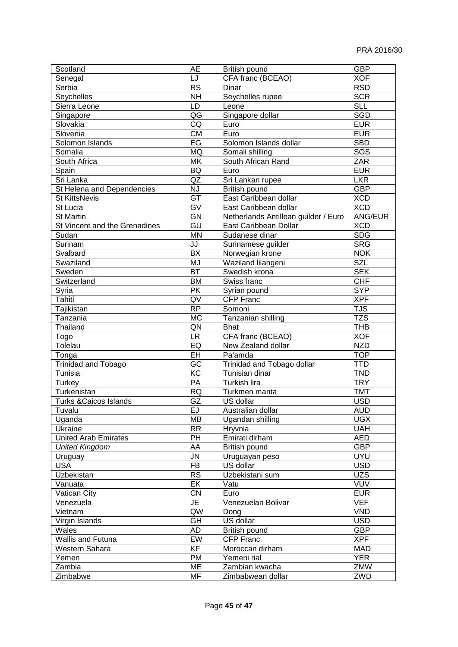| Scotland                          | <b>AE</b>       | British pound                                                 | <b>GBP</b>            |
|-----------------------------------|-----------------|---------------------------------------------------------------|-----------------------|
| Senegal                           | LJ              | CFA franc (BCEAO)                                             | <b>XOF</b>            |
| Serbia                            | <b>RS</b>       | Dinar                                                         | <b>RSD</b>            |
| Seychelles                        | <b>NH</b>       | Seychelles rupee                                              | <b>SCR</b>            |
| Sierra Leone                      | LD              | Leone                                                         | <b>SLL</b>            |
| Singapore                         | QG              | Singapore dollar                                              | <b>SGD</b>            |
| Slovakia                          | CQ              | Euro                                                          | <b>EUR</b>            |
| Slovenia                          | <b>CM</b>       | Euro                                                          | <b>EUR</b>            |
| Solomon Islands                   | EG              | Solomon Islands dollar                                        | <b>SBD</b>            |
| Somalia                           | <b>MQ</b>       | Somali shilling                                               | SOS                   |
| South Africa                      | MK              | South African Rand                                            | <b>ZAR</b>            |
| Spain                             | BQ              | Euro                                                          | <b>EUR</b>            |
| Sri Lanka                         | QZ              | Sri Lankan rupee                                              | <b>LKR</b>            |
| St Helena and Dependencies        | NJ              | British pound                                                 | <b>GBP</b>            |
| <b>St KittsNevis</b>              | GT              | East Caribbean dollar                                         | <b>XCD</b>            |
|                                   | GV              | East Caribbean dollar                                         | <b>XCD</b>            |
| St Lucia                          |                 |                                                               |                       |
| <b>St Martin</b>                  | GN<br>GU        | Netherlands Antillean guilder / Euro<br>East Caribbean Dollar | ANG/EUR<br><b>XCD</b> |
| St Vincent and the Grenadines     | <b>MN</b>       |                                                               |                       |
| Sudan                             |                 | Sudanese dinar                                                | <b>SDG</b>            |
| Surinam                           | JJ              | Surinamese guilder                                            | <b>SRG</b>            |
| Svalbard                          | <b>BX</b>       | Norwegian krone                                               | <b>NOK</b>            |
| Swaziland                         | MJ              | Waziland lilangeni                                            | SZL                   |
| Sweden                            | <b>BT</b>       | Swedish krona                                                 | <b>SEK</b>            |
| Switzerland                       | <b>BM</b>       | Swiss franc                                                   | <b>CHF</b>            |
| Syria                             | PK              | Syrian pound                                                  | <b>SYP</b>            |
| Tahiti                            | QV              | <b>CFP Franc</b>                                              | <b>XPF</b>            |
| Tajikistan                        | $\overline{RP}$ | Somoni                                                        | <b>TJS</b>            |
| Tanzania                          | <b>MC</b>       | Tanzanian shilling                                            | <b>TZS</b>            |
| Thailand                          | QN              | <b>Bhat</b>                                                   | <b>THB</b>            |
| Togo                              | <b>LR</b>       | CFA franc (BCEAO)                                             | <b>XOF</b>            |
| Tolelau                           | EQ              | New Zealand dollar                                            | <b>NZD</b>            |
| Tonga                             | <b>EH</b>       | Pa'amda                                                       | <b>TOP</b>            |
| Trinidad and Tobago               | $\overline{GC}$ | Trinidad and Tobago dollar                                    | <b>TTD</b>            |
| Tunisia                           | $\overline{KC}$ | Tunisian dinar                                                | <b>TND</b>            |
| Turkey                            | PA              | Turkish lira                                                  | <b>TRY</b>            |
| Turkenistan                       | <b>RQ</b>       | Turkmen manta                                                 | <b>TMT</b>            |
| <b>Turks &amp; Caicos Islands</b> | GZ              | US dollar                                                     | <b>USD</b>            |
| Tuvalu                            | EJ              | Australian dollar                                             | AUD                   |
| Uganda                            | MВ              | Ugandan shilling                                              | <b>UGX</b>            |
| Ukraine                           | RR              | Hryvnia                                                       | <b>UAH</b>            |
| <b>United Arab Emirates</b>       | PH              | Emirati dirham                                                | <b>AED</b>            |
| <b>United Kingdom</b>             | AA              | British pound                                                 | <b>GBP</b>            |
| Uruguay                           | JN              | Uruguayan peso                                                | <b>UYU</b>            |
| <b>USA</b>                        | FB              | US dollar                                                     | <b>USD</b>            |
| Uzbekistan                        | <b>RS</b>       | Uzbekistani sum                                               | <b>UZS</b>            |
| Vanuata                           | EK              | Vatu                                                          | <b>VUV</b>            |
| Vatican City                      | CN              | Euro                                                          | <b>EUR</b>            |
| Venezuela                         | JE              | Venezuelan Bolivar                                            | <b>VEF</b>            |
| Vietnam                           | QW              | Dong                                                          | <b>VND</b>            |
| Virgin Islands                    | GH              | US dollar                                                     | <b>USD</b>            |
| Wales                             | <b>AD</b>       | British pound                                                 | <b>GBP</b>            |
| <b>Wallis and Futuna</b>          | EW              | <b>CFP Franc</b>                                              | <b>XPF</b>            |
| Western Sahara                    | KF              | Moroccan dirham                                               | MAD                   |
| Yemen                             | PM              | Yemeni rial                                                   | <b>YER</b>            |
| Zambia                            | ME              | Zambian kwacha                                                | ZMW                   |
| Zimbabwe                          | MF              | Zimbabwean dollar                                             | ZWD                   |
|                                   |                 |                                                               |                       |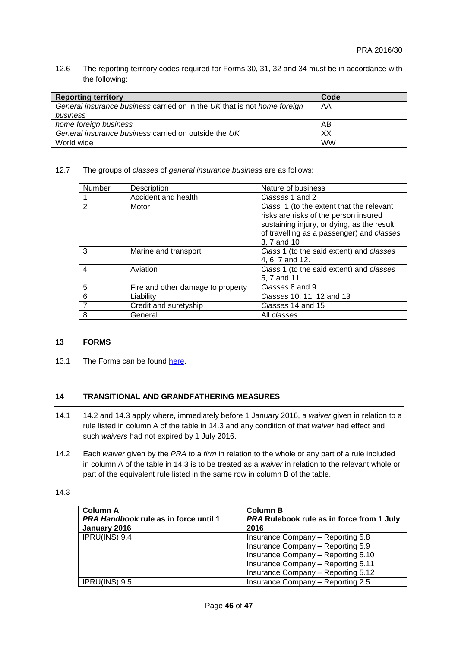12.6 The reporting territory codes required for Forms 30, 31, 32 and 34 must be in accordance with the following:

| <b>Reporting territory</b>                                               | Code      |
|--------------------------------------------------------------------------|-----------|
| General insurance business carried on in the UK that is not home foreign | AA        |
| business                                                                 |           |
| home foreign business                                                    | AΒ        |
| General insurance business carried on outside the UK                     | XХ        |
| World wide                                                               | <b>WW</b> |

## 12.7 The groups of *classes* of *general insurance business* are as follows:

| <b>Number</b> | Description                       | Nature of business                                                                                                                                                           |
|---------------|-----------------------------------|------------------------------------------------------------------------------------------------------------------------------------------------------------------------------|
|               | Accident and health               | Classes 1 and 2                                                                                                                                                              |
| $\mathbf{2}$  | Motor                             | Class 1 (to the extent that the relevant<br>risks are risks of the person insured<br>sustaining injury, or dying, as the result<br>of travelling as a passenger) and classes |
|               |                                   | 3, 7 and 10                                                                                                                                                                  |
| 3             | Marine and transport              | Class 1 (to the said extent) and classes<br>4, 6, 7 and 12.                                                                                                                  |
| 4             | Aviation                          | Class 1 (to the said extent) and classes<br>5, 7 and 11.                                                                                                                     |
| 5             | Fire and other damage to property | Classes 8 and 9                                                                                                                                                              |
| 6             | Liability                         | Classes 10, 11, 12 and 13                                                                                                                                                    |
| 7             | Credit and suretyship             | Classes 14 and 15                                                                                                                                                            |
| 8             | General                           | All classes                                                                                                                                                                  |

# **13 FORMS**

13.1 The Forms can be found [here.](http://www.bankofengland.co.uk/pra/Documents/supervision/smallerinsurers/ndfrep20160630.pdf)

# **14 TRANSITIONAL AND GRANDFATHERING MEASURES**

- 14.1 14.2 and 14.3 apply where, immediately before 1 January 2016, a *waiver* given in relation to a rule listed in column A of the table in 14.3 and any condition of that *waiver* had effect and such *waivers* had not expired by 1 July 2016.
- 14.2 Each *waiver* given by the *PRA* to a *firm* in relation to the whole or any part of a rule included in column A of the table in 14.3 is to be treated as a *waiver* in relation to the relevant whole or part of the equivalent rule listed in the same row in column B of the table.

# 14.3

| <b>Column A</b>                              | <b>Column B</b>                                  |
|----------------------------------------------|--------------------------------------------------|
| <b>PRA Handbook rule as in force until 1</b> | <b>PRA Rulebook rule as in force from 1 July</b> |
| January 2016                                 | 2016                                             |
| IPRU(INS) 9.4                                | Insurance Company - Reporting 5.8                |
|                                              | Insurance Company - Reporting 5.9                |
|                                              | Insurance Company - Reporting 5.10               |
|                                              | Insurance Company - Reporting 5.11               |
|                                              | Insurance Company - Reporting 5.12               |
| $IPRU(INS)$ 9.5                              | Insurance Company - Reporting 2.5                |